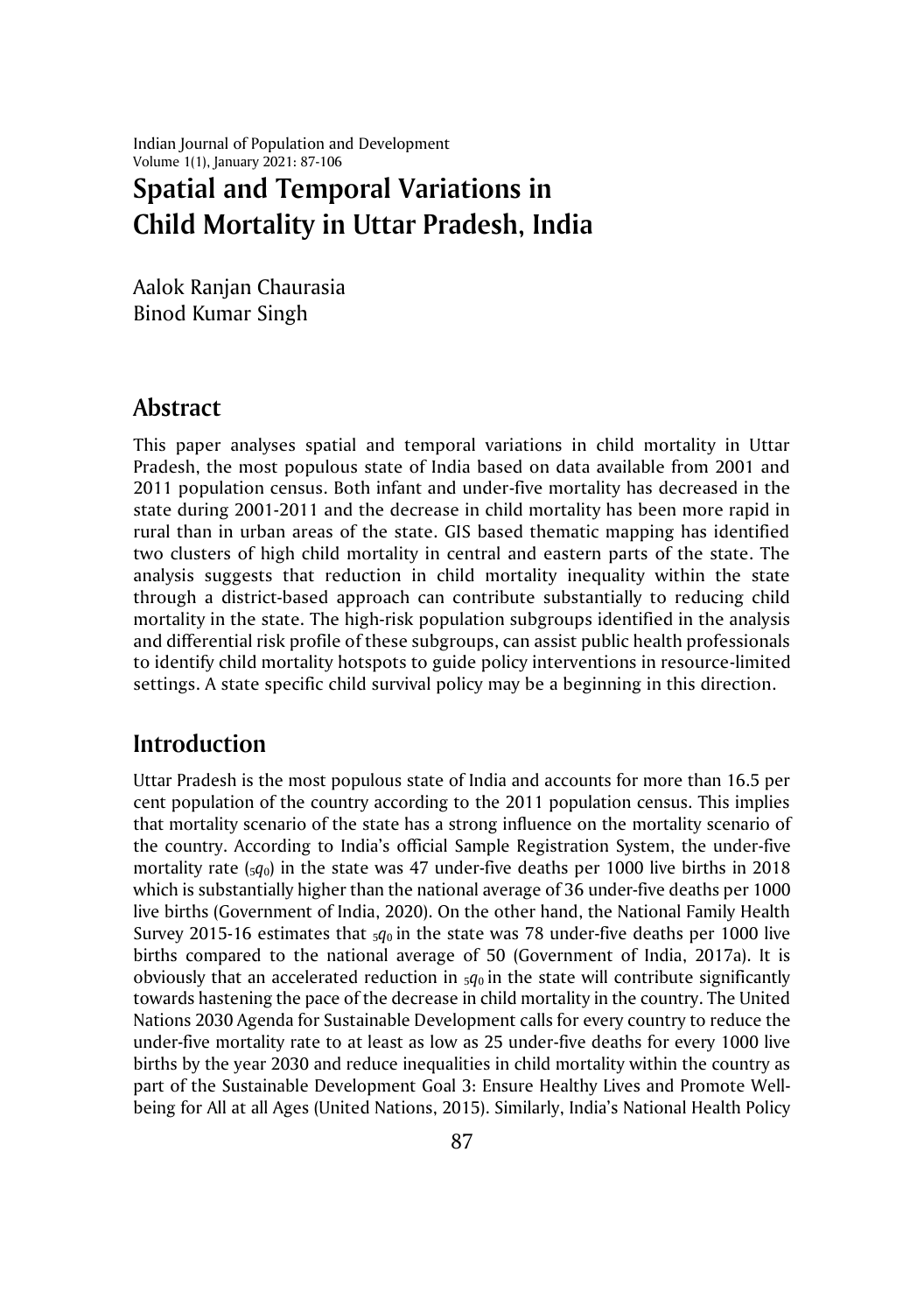Indian Journal of Population and Development Volume 1(1), January 2021: 87-106

# **Spatial and Temporal Variations in Child Mortality in Uttar Pradesh, India**

Aalok Ranjan Chaurasia Binod Kumar Singh

### **Abstract**

This paper analyses spatial and temporal variations in child mortality in Uttar Pradesh, the most populous state of India based on data available from 2001 and 2011 population census. Both infant and under-five mortality has decreased in the state during 2001-2011 and the decrease in child mortality has been more rapid in rural than in urban areas of the state. GIS based thematic mapping has identified two clusters of high child mortality in central and eastern parts of the state. The analysis suggests that reduction in child mortality inequality within the state through a district-based approach can contribute substantially to reducing child mortality in the state. The high-risk population subgroups identified in the analysis and differential risk profile of these subgroups, can assist public health professionals to identify child mortality hotspots to guide policy interventions in resource-limited settings. A state specific child survival policy may be a beginning in this direction.

## **Introduction**

Uttar Pradesh is the most populous state of India and accounts for more than 16.5 per cent population of the country according to the 2011 population census. This implies that mortality scenario of the state has a strong influence on the mortality scenario of the country. According to India's official Sample Registration System, the under-five mortality rate  $(sq_0)$  in the state was 47 under-five deaths per 1000 live births in 2018 which is substantially higher than the national average of 36 under-five deaths per 1000 live births (Government of India, 2020). On the other hand, the National Family Health Survey 2015-16 estimates that  $_5q_0$  in the state was 78 under-five deaths per 1000 live births compared to the national average of 50 (Government of India, 2017a). It is obviously that an accelerated reduction in  $_{5}q_{0}$  in the state will contribute significantly towards hastening the pace of the decrease in child mortality in the country. The United Nations 2030 Agenda for Sustainable Development calls for every country to reduce the under-five mortality rate to at least as low as 25 under-five deaths for every 1000 live births by the year 2030 and reduce inequalities in child mortality within the country as part of the Sustainable Development Goal 3: Ensure Healthy Lives and Promote Wellbeing for All at all Ages (United Nations, 2015). Similarly, India's National Health Policy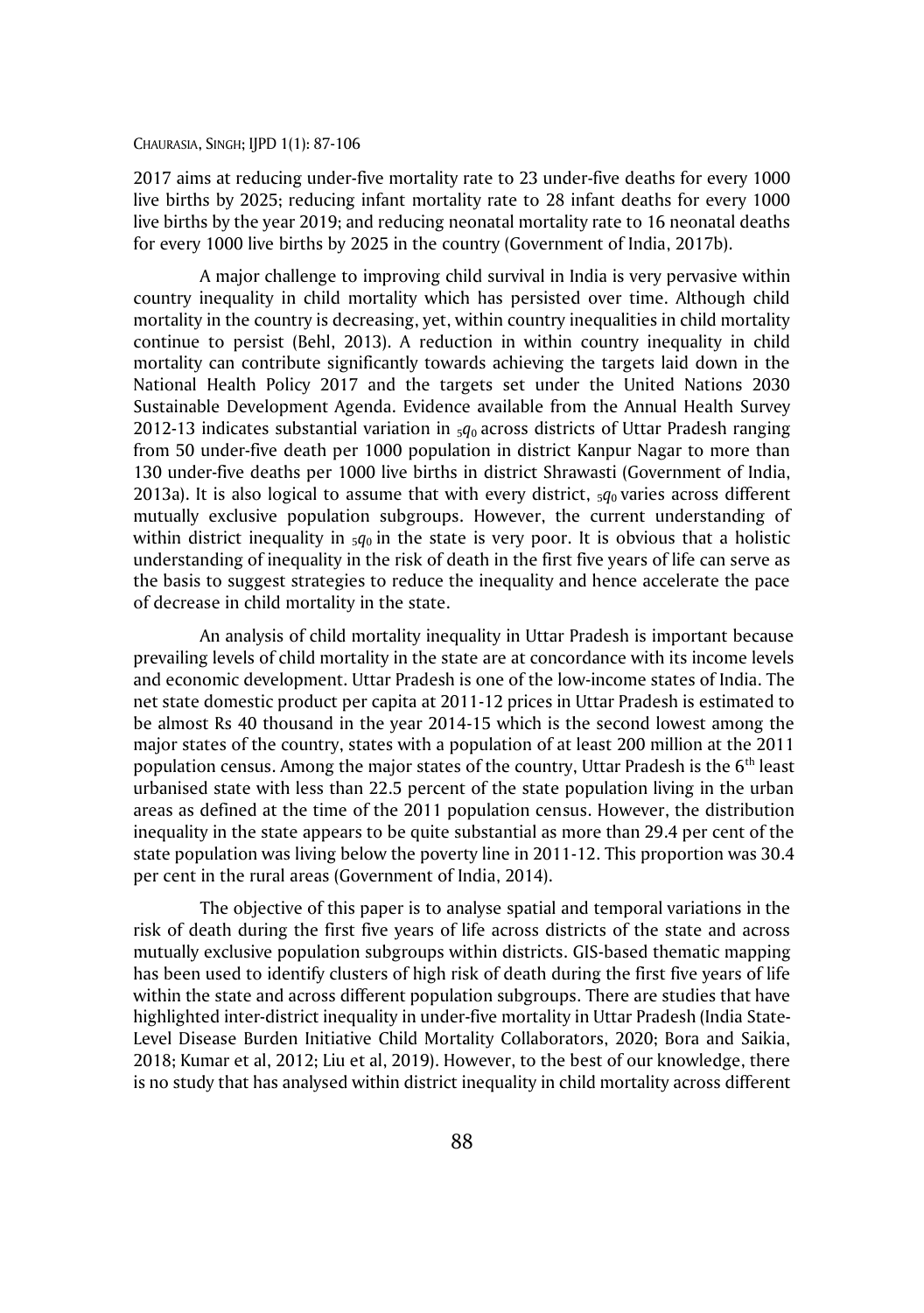2017 aims at reducing under-five mortality rate to 23 under-five deaths for every 1000 live births by 2025; reducing infant mortality rate to 28 infant deaths for every 1000 live births by the year 2019; and reducing neonatal mortality rate to 16 neonatal deaths for every 1000 live births by 2025 in the country (Government of India, 2017b).

A major challenge to improving child survival in India is very pervasive within country inequality in child mortality which has persisted over time. Although child mortality in the country is decreasing, yet, within country inequalities in child mortality continue to persist (Behl, 2013). A reduction in within country inequality in child mortality can contribute significantly towards achieving the targets laid down in the National Health Policy 2017 and the targets set under the United Nations 2030 Sustainable Development Agenda. Evidence available from the Annual Health Survey 2012-13 indicates substantial variation in 5*q*0 across districts of Uttar Pradesh ranging from 50 under-five death per 1000 population in district Kanpur Nagar to more than 130 under-five deaths per 1000 live births in district Shrawasti (Government of India, 2013a). It is also logical to assume that with every district,  $\frac{1}{2}q_0$  varies across different mutually exclusive population subgroups. However, the current understanding of within district inequality in  $_5q_0$  in the state is very poor. It is obvious that a holistic understanding of inequality in the risk of death in the first five years of life can serve as the basis to suggest strategies to reduce the inequality and hence accelerate the pace of decrease in child mortality in the state.

An analysis of child mortality inequality in Uttar Pradesh is important because prevailing levels of child mortality in the state are at concordance with its income levels and economic development. Uttar Pradesh is one of the low-income states of India. The net state domestic product per capita at 2011-12 prices in Uttar Pradesh is estimated to be almost Rs 40 thousand in the year 2014-15 which is the second lowest among the major states of the country, states with a population of at least 200 million at the 2011 population census. Among the major states of the country, Uttar Pradesh is the  $6<sup>th</sup>$  least urbanised state with less than 22.5 percent of the state population living in the urban areas as defined at the time of the 2011 population census. However, the distribution inequality in the state appears to be quite substantial as more than 29.4 per cent of the state population was living below the poverty line in 2011-12. This proportion was 30.4 per cent in the rural areas (Government of India, 2014).

The objective of this paper is to analyse spatial and temporal variations in the risk of death during the first five years of life across districts of the state and across mutually exclusive population subgroups within districts. GIS-based thematic mapping has been used to identify clusters of high risk of death during the first five years of life within the state and across different population subgroups. There are studies that have highlighted inter-district inequality in under-five mortality in Uttar Pradesh (India State-Level Disease Burden Initiative Child Mortality Collaborators, 2020; Bora and Saikia, 2018; Kumar et al, 2012; Liu et al, 2019). However, to the best of our knowledge, there is no study that has analysed within district inequality in child mortality across different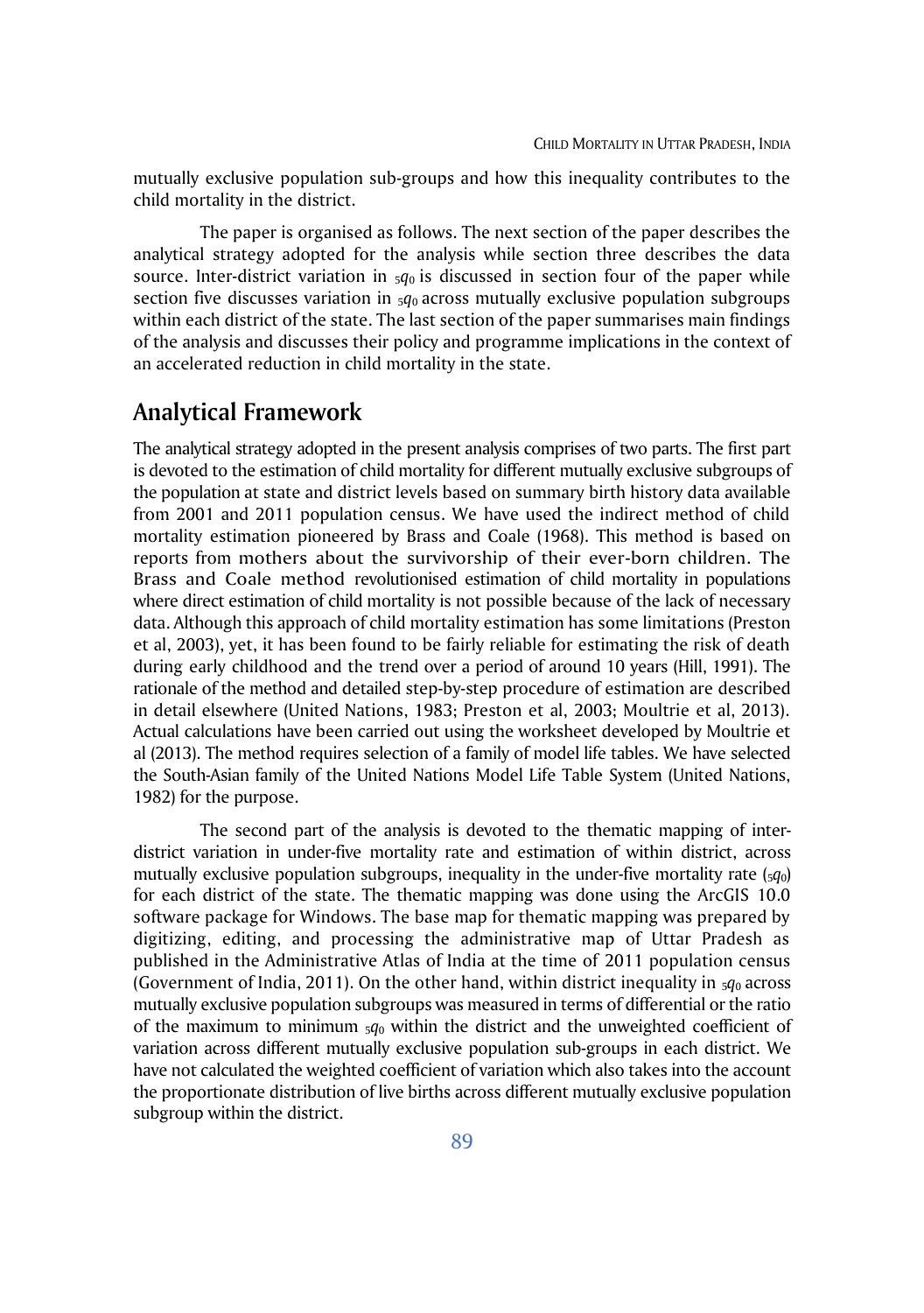mutually exclusive population sub-groups and how this inequality contributes to the child mortality in the district.

The paper is organised as follows. The next section of the paper describes the analytical strategy adopted for the analysis while section three describes the data source. Inter-district variation in  $5q_0$  is discussed in section four of the paper while section five discusses variation in  $_5q_0$  across mutually exclusive population subgroups within each district of the state. The last section of the paper summarises main findings of the analysis and discusses their policy and programme implications in the context of an accelerated reduction in child mortality in the state.

### **Analytical Framework**

The analytical strategy adopted in the present analysis comprises of two parts. The first part is devoted to the estimation of child mortality for different mutually exclusive subgroups of the population at state and district levels based on summary birth history data available from 2001 and 2011 population census. We have used the indirect method of child mortality estimation pioneered by Brass and Coale (1968). This method is based on reports from mothers about the survivorship of their ever-born children. The Brass and Coale method revolutionised estimation of child mortality in populations where direct estimation of child mortality is not possible because of the lack of necessary data. Although this approach of child mortality estimation has some limitations (Preston et al, 2003), yet, it has been found to be fairly reliable for estimating the risk of death during early childhood and the trend over a period of around 10 years (Hill, 1991). The rationale of the method and detailed step-by-step procedure of estimation are described in detail elsewhere (United Nations, 1983; Preston et al, 2003; Moultrie et al, 2013). Actual calculations have been carried out using the worksheet developed by Moultrie et al (2013). The method requires selection of a family of model life tables. We have selected the South-Asian family of the United Nations Model Life Table System (United Nations, 1982) for the purpose.

The second part of the analysis is devoted to the thematic mapping of interdistrict variation in under-five mortality rate and estimation of within district, across mutually exclusive population subgroups, inequality in the under-five mortality rate (5*q*0) for each district of the state. The thematic mapping was done using the ArcGIS 10.0 software package for Windows. The base map for thematic mapping was prepared by digitizing, editing, and processing the administrative map of Uttar Pradesh as published in the Administrative Atlas of India at the time of 2011 population census (Government of India, 2011). On the other hand, within district inequality in  $5q_0$  across mutually exclusive population subgroups was measured in terms of differential or the ratio of the maximum to minimum  $5q_0$  within the district and the unweighted coefficient of variation across different mutually exclusive population sub-groups in each district. We have not calculated the weighted coefficient of variation which also takes into the account the proportionate distribution of live births across different mutually exclusive population subgroup within the district.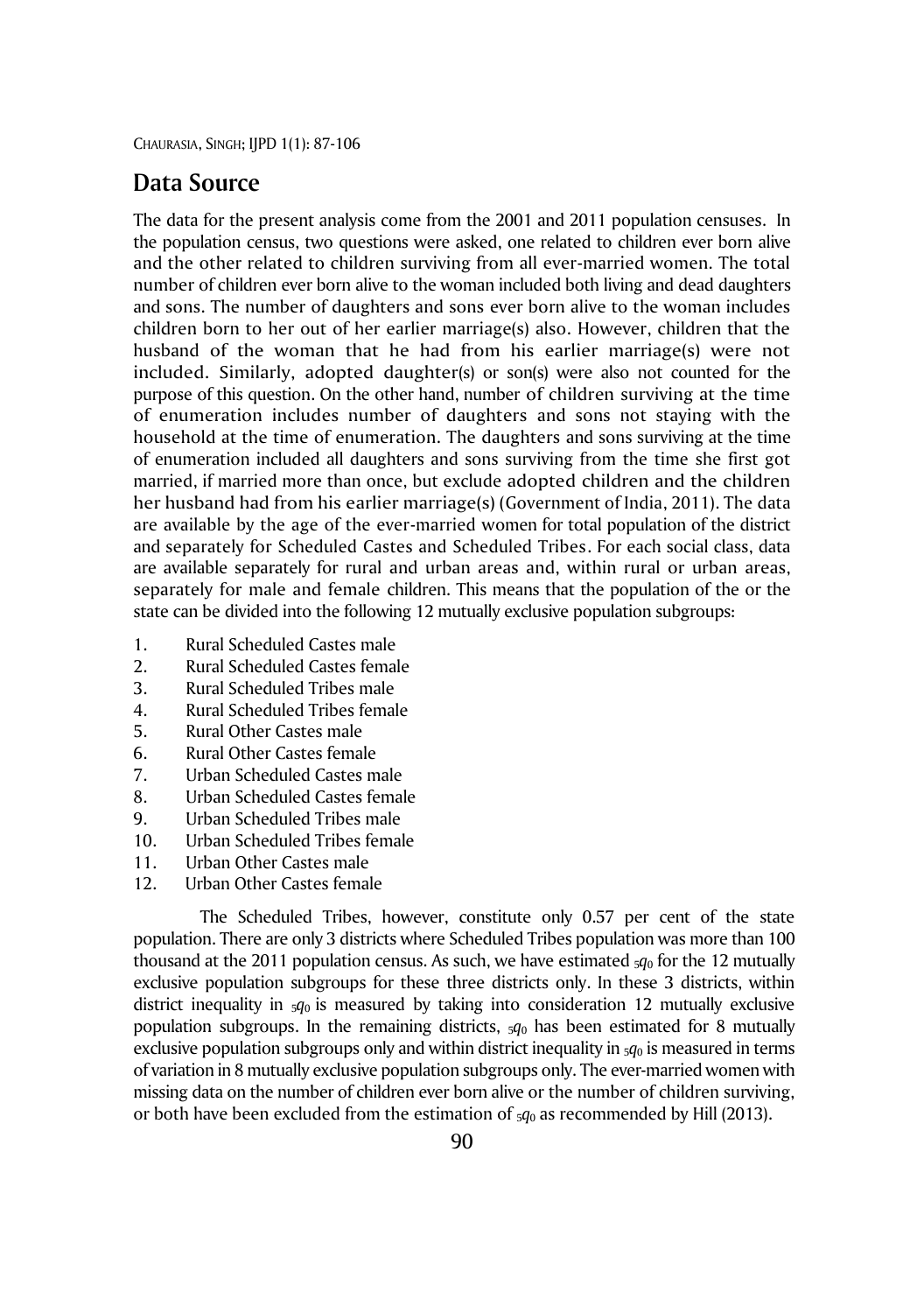### **Data Source**

The data for the present analysis come from the 2001 and 2011 population censuses. In the population census, two questions were asked, one related to children ever born alive and the other related to children surviving from all ever-married women. The total number of children ever born alive to the woman included both living and dead daughters and sons. The number of daughters and sons ever born alive to the woman includes children born to her out of her earlier marriage(s) also. However, children that the husband of the woman that he had from his earlier marriage(s) were not included. Similarly, adopted daughter(s) or son(s) were also not counted for the purpose of this question. On the other hand, number of children surviving at the time of enumeration includes number of daughters and sons not staying with the household at the time of enumeration. The daughters and sons surviving at the time of enumeration included all daughters and sons surviving from the time she first got married, if married more than once, but exclude adopted children and the children her husband had from his earlier marriage(s) (Government of India, 2011). The data are available by the age of the ever-married women for total population of the district and separately for Scheduled Castes and Scheduled Tribes. For each social class, data are available separately for rural and urban areas and, within rural or urban areas, separately for male and female children. This means that the population of the or the state can be divided into the following 12 mutually exclusive population subgroups:

- 1. Rural Scheduled Castes male
- 2. Rural Scheduled Castes female
- 3. Rural Scheduled Tribes male
- 4. Rural Scheduled Tribes female
- 5. Rural Other Castes male
- 6. Rural Other Castes female
- 7. Urban Scheduled Castes male
- 8. Urban Scheduled Castes female
- 9. Urban Scheduled Tribes male
- 10. Urban Scheduled Tribes female
- 11. Urban Other Castes male
- 12. Urban Other Castes female

The Scheduled Tribes, however, constitute only 0.57 per cent of the state population. There are only 3 districts where Scheduled Tribes population was more than 100 thousand at the 2011 population census. As such, we have estimated 5*q*<sup>0</sup> for the 12 mutually exclusive population subgroups for these three districts only. In these 3 districts, within district inequality in 5*q*0 is measured by taking into consideration 12 mutually exclusive population subgroups. In the remaining districts,  $\varsigma q_0$  has been estimated for 8 mutually exclusive population subgroups only and within district inequality in  $5q_0$  is measured in terms of variation in 8 mutually exclusive population subgroups only. The ever-married women with missing data on the number of children ever born alive or the number of children surviving, or both have been excluded from the estimation of 5*q*<sup>0</sup> as recommended by Hill (2013).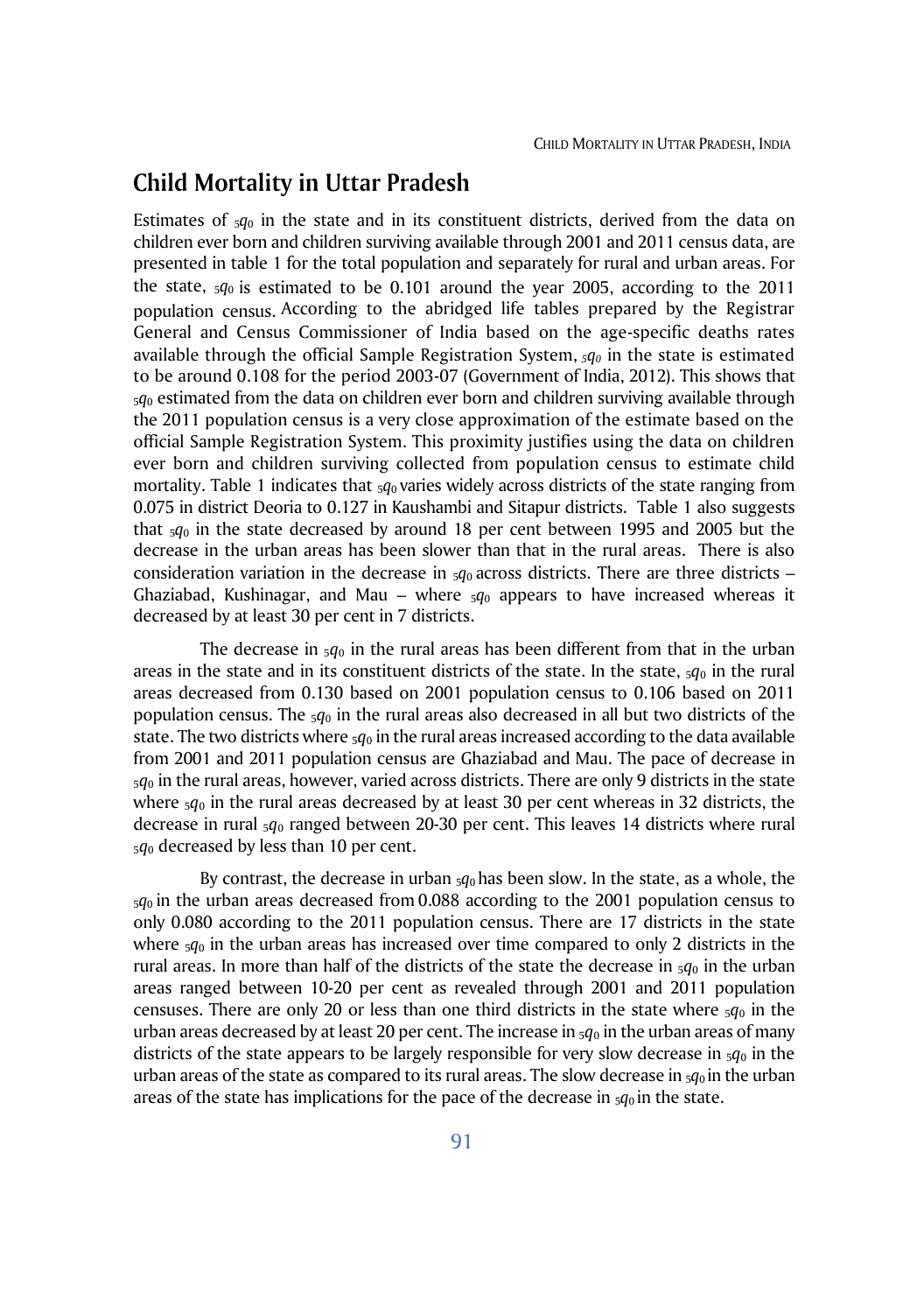### **Child Mortality in Uttar Pradesh**

Estimates of  $5q_0$  in the state and in its constituent districts, derived from the data on children ever born and children surviving available through 2001 and 2011 census data, are presented in table 1 for the total population and separately for rural and urban areas. For the state, 5*q*0 is estimated to be 0.101 around the year 2005, according to the 2011 population census. According to the abridged life tables prepared by the Registrar General and Census Commissioner of India based on the age-specific deaths rates available through the official Sample Registration System, *<sup>5</sup>q<sup>0</sup>* in the state is estimated to be around 0.108 for the period 2003-07 (Government of India, 2012). This shows that <sup>5</sup>*q*<sup>0</sup> estimated from the data on children ever born and children surviving available through the 2011 population census is a very close approximation of the estimate based on the official Sample Registration System. This proximity justifies using the data on children ever born and children surviving collected from population census to estimate child mortality. Table 1 indicates that  $_5q_0$  varies widely across districts of the state ranging from 0.075 in district Deoria to 0.127 in Kaushambi and Sitapur districts. Table 1 also suggests that 5*q*<sup>0</sup> in the state decreased by around 18 per cent between 1995 and 2005 but the decrease in the urban areas has been slower than that in the rural areas. There is also consideration variation in the decrease in  $5q_0$  across districts. There are three districts – Ghaziabad, Kushinagar, and Mau – where  $5q_0$  appears to have increased whereas it decreased by at least 30 per cent in 7 districts.

The decrease in  $_5q_0$  in the rural areas has been different from that in the urban areas in the state and in its constituent districts of the state. In the state, 5*q*<sup>0</sup> in the rural areas decreased from 0.130 based on 2001 population census to 0.106 based on 2011 population census. The 5*q*<sup>0</sup> in the rural areas also decreased in all but two districts of the state. The two districts where  $5q_0$  in the rural areas increased according to the data available from 2001 and 2011 population census are Ghaziabad and Mau. The pace of decrease in  $5q_0$  in the rural areas, however, varied across districts. There are only 9 districts in the state where  $_5q_0$  in the rural areas decreased by at least 30 per cent whereas in 32 districts, the decrease in rural <sup>5</sup>*q*<sup>0</sup> ranged between 20-30 per cent. This leaves 14 districts where rural  $5q_0$  decreased by less than 10 per cent.

By contrast, the decrease in urban 5*q*<sup>0</sup> has been slow. In the state, as a whole, the  $5q_0$  in the urban areas decreased from 0.088 according to the 2001 population census to only 0.080 according to the 2011 population census. There are 17 districts in the state where 5*q*<sup>0</sup> in the urban areas has increased over time compared to only 2 districts in the rural areas. In more than half of the districts of the state the decrease in  $5q_0$  in the urban areas ranged between 10-20 per cent as revealed through 2001 and 2011 population censuses. There are only 20 or less than one third districts in the state where  $_5q_0$  in the urban areas decreased by at least 20 per cent. The increase in  $_5q_0$  in the urban areas of many districts of the state appears to be largely responsible for very slow decrease in  $_5q_0$  in the urban areas of the state as compared to its rural areas. The slow decrease in  $5q_0$  in the urban areas of the state has implications for the pace of the decrease in  $_5q_0$  in the state.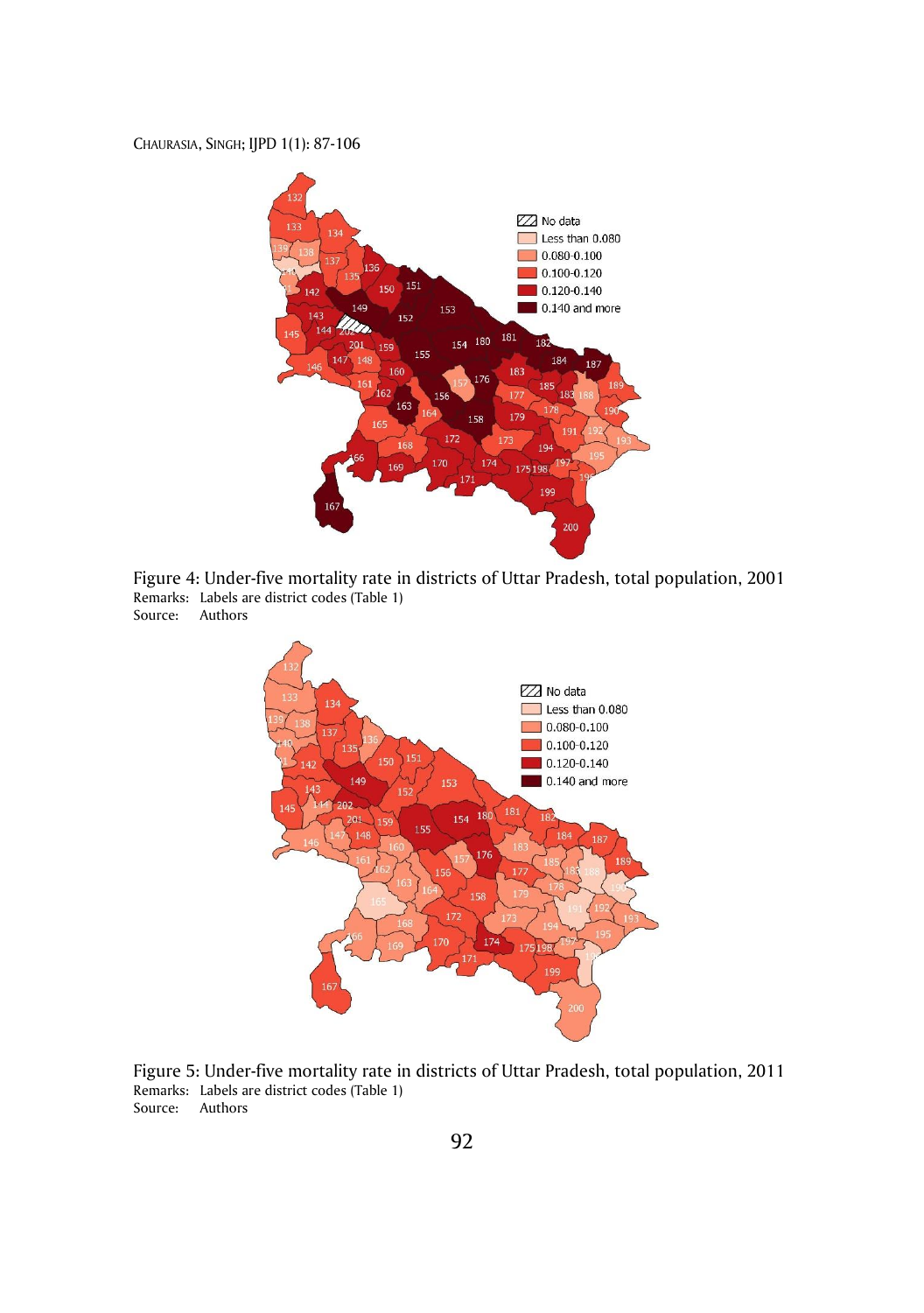

Figure 4: Under-five mortality rate in districts of Uttar Pradesh, total population, 2001 Remarks: Labels are district codes (Table 1) Source: Authors



Figure 5: Under-five mortality rate in districts of Uttar Pradesh, total population, 2011 Remarks: Labels are district codes (Table 1) Source: Authors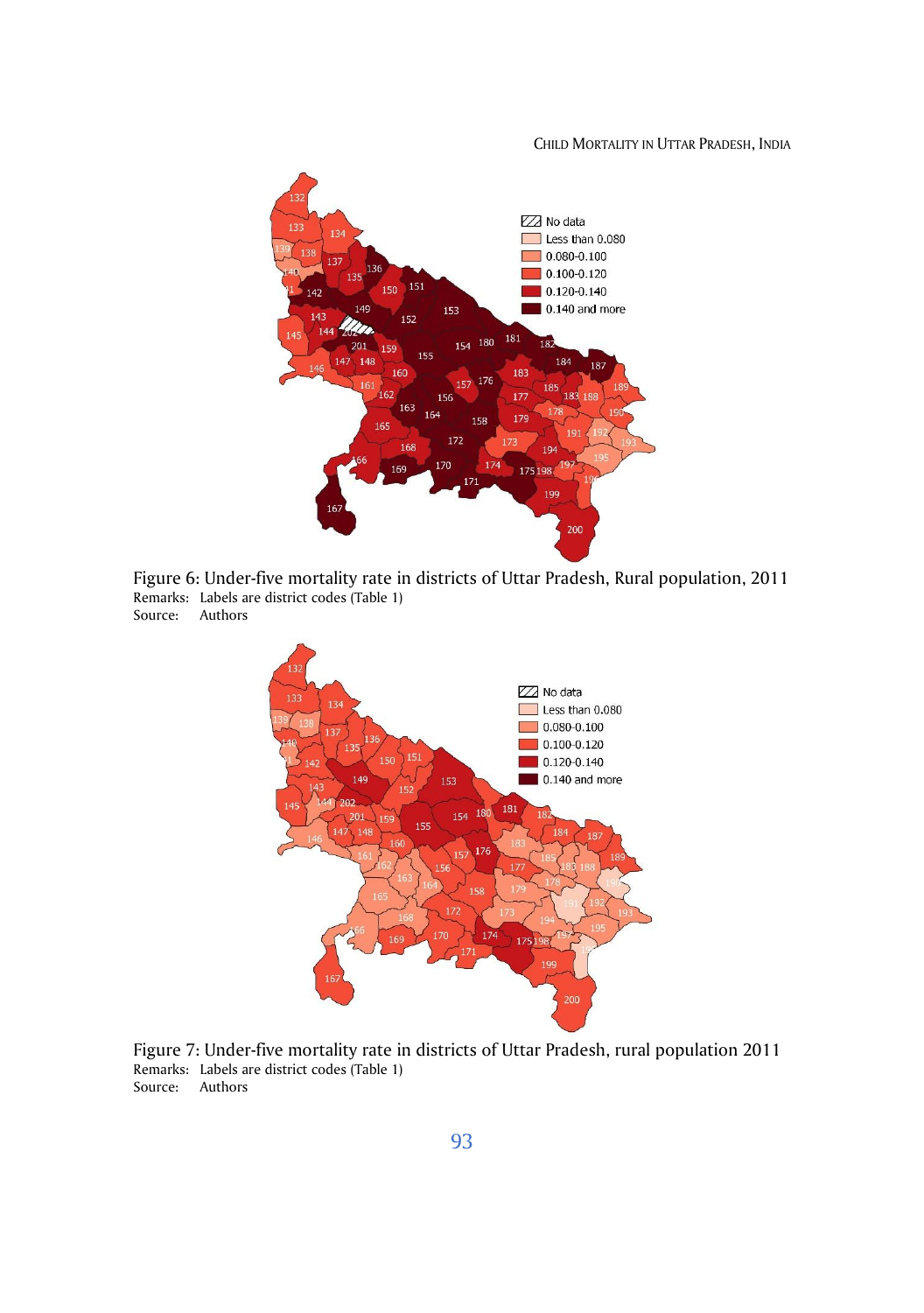#### CHILD MORTALITY IN UTTAR PRADESH, INDIA



Figure 6: Under-five mortality rate in districts of Uttar Pradesh, Rural population, 2011 Remarks: Labels are district codes (Table 1) Source: Authors



Figure 7: Under-five mortality rate in districts of Uttar Pradesh, rural population 2011 Remarks: Labels are district codes (Table 1) Source: Authors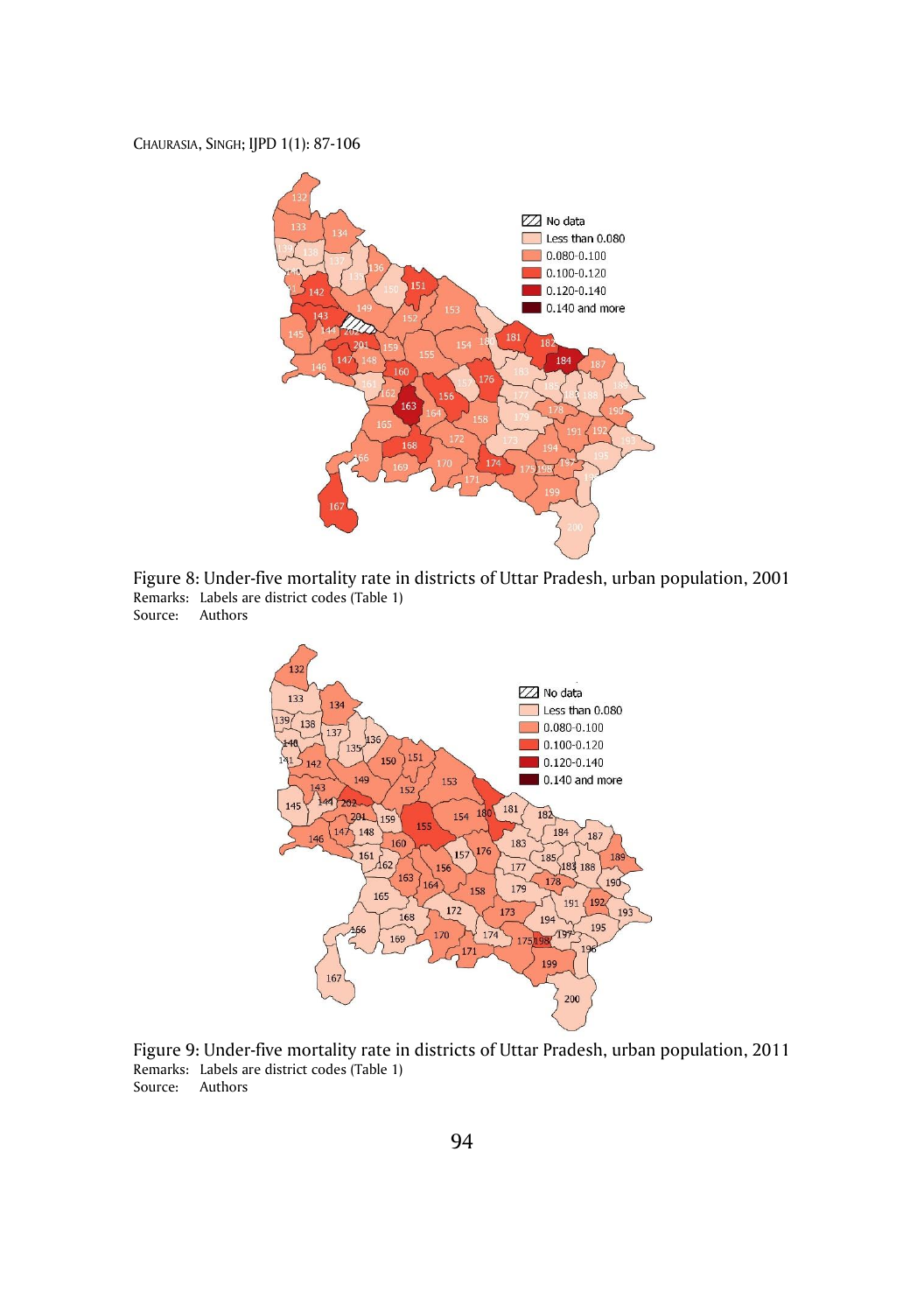

Figure 8: Under-five mortality rate in districts of Uttar Pradesh, urban population, 2001 Remarks: Labels are district codes (Table 1) Source: Authors



Figure 9: Under-five mortality rate in districts of Uttar Pradesh, urban population, 2011 Remarks: Labels are district codes (Table 1) Source: Authors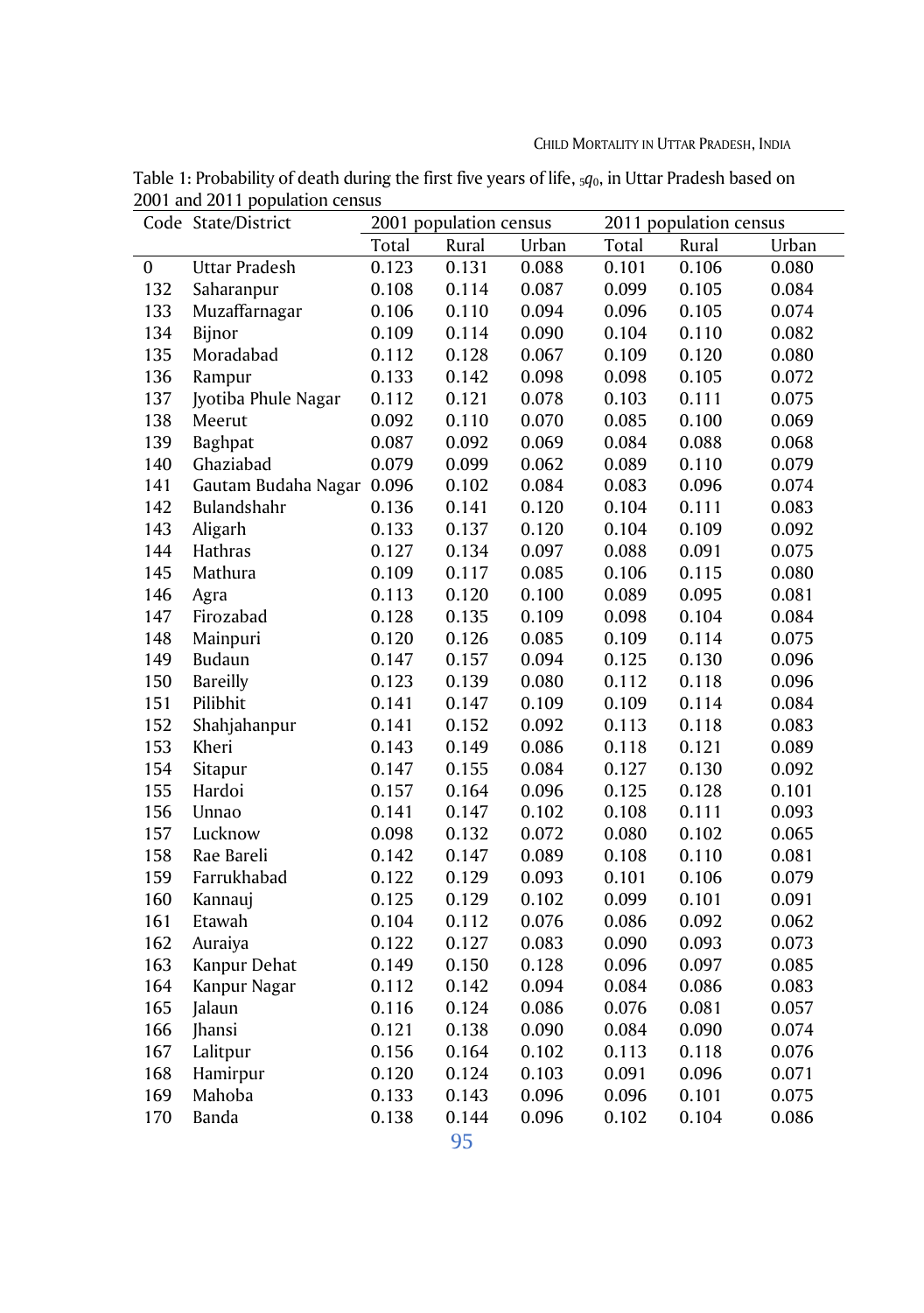|                  | Code State/District  |       | 2001 population census |       | 2011 population census |       |       |  |  |
|------------------|----------------------|-------|------------------------|-------|------------------------|-------|-------|--|--|
|                  |                      | Total | Rural                  | Urban | Total                  | Rural | Urban |  |  |
| $\boldsymbol{0}$ | <b>Uttar Pradesh</b> | 0.123 | 0.131                  | 0.088 | 0.101                  | 0.106 | 0.080 |  |  |
| 132              | Saharanpur           | 0.108 | 0.114                  | 0.087 | 0.099                  | 0.105 | 0.084 |  |  |
| 133              | Muzaffarnagar        | 0.106 | 0.110                  | 0.094 | 0.096                  | 0.105 | 0.074 |  |  |
| 134              | Bijnor               | 0.109 | 0.114                  | 0.090 | 0.104                  | 0.110 | 0.082 |  |  |
| 135              | Moradabad            | 0.112 | 0.128                  | 0.067 | 0.109                  | 0.120 | 0.080 |  |  |
| 136              | Rampur               | 0.133 | 0.142                  | 0.098 | 0.098                  | 0.105 | 0.072 |  |  |
| 137              | Jyotiba Phule Nagar  | 0.112 | 0.121                  | 0.078 | 0.103                  | 0.111 | 0.075 |  |  |
| 138              | Meerut               | 0.092 | 0.110                  | 0.070 | 0.085                  | 0.100 | 0.069 |  |  |
| 139              | Baghpat              | 0.087 | 0.092                  | 0.069 | 0.084                  | 0.088 | 0.068 |  |  |
| 140              | Ghaziabad            | 0.079 | 0.099                  | 0.062 | 0.089                  | 0.110 | 0.079 |  |  |
| 141              | Gautam Budaha Nagar  | 0.096 | 0.102                  | 0.084 | 0.083                  | 0.096 | 0.074 |  |  |
| 142              | Bulandshahr          | 0.136 | 0.141                  | 0.120 | 0.104                  | 0.111 | 0.083 |  |  |
| 143              | Aligarh              | 0.133 | 0.137                  | 0.120 | 0.104                  | 0.109 | 0.092 |  |  |
| 144              | Hathras              | 0.127 | 0.134                  | 0.097 | 0.088                  | 0.091 | 0.075 |  |  |
| 145              | Mathura              | 0.109 | 0.117                  | 0.085 | 0.106                  | 0.115 | 0.080 |  |  |
| 146              | Agra                 | 0.113 | 0.120                  | 0.100 | 0.089                  | 0.095 | 0.081 |  |  |
| 147              | Firozabad            | 0.128 | 0.135                  | 0.109 | 0.098                  | 0.104 | 0.084 |  |  |
| 148              | Mainpuri             | 0.120 | 0.126                  | 0.085 | 0.109                  | 0.114 | 0.075 |  |  |
| 149              | Budaun               | 0.147 | 0.157                  | 0.094 | 0.125                  | 0.130 | 0.096 |  |  |
| 150              | <b>Bareilly</b>      | 0.123 | 0.139                  | 0.080 | 0.112                  | 0.118 | 0.096 |  |  |
| 151              | Pilibhit             | 0.141 | 0.147                  | 0.109 | 0.109                  | 0.114 | 0.084 |  |  |
| 152              | Shahjahanpur         | 0.141 | 0.152                  | 0.092 | 0.113                  | 0.118 | 0.083 |  |  |
| 153              | Kheri                | 0.143 | 0.149                  | 0.086 | 0.118                  | 0.121 | 0.089 |  |  |
| 154              | Sitapur              | 0.147 | 0.155                  | 0.084 | 0.127                  | 0.130 | 0.092 |  |  |
| 155              | Hardoi               | 0.157 | 0.164                  | 0.096 | 0.125                  | 0.128 | 0.101 |  |  |
| 156              | Unnao                | 0.141 | 0.147                  | 0.102 | 0.108                  | 0.111 | 0.093 |  |  |
| 157              | Lucknow              | 0.098 | 0.132                  | 0.072 | 0.080                  | 0.102 | 0.065 |  |  |
| 158              | Rae Bareli           | 0.142 | 0.147                  | 0.089 | 0.108                  | 0.110 | 0.081 |  |  |
| 159              | Farrukhabad          | 0.122 | 0.129                  | 0.093 | 0.101                  | 0.106 | 0.079 |  |  |
| 160              | Kannauj              | 0.125 | 0.129                  | 0.102 | 0.099                  | 0.101 | 0.091 |  |  |
| 161              | Etawah               | 0.104 | 0.112                  | 0.076 | 0.086                  | 0.092 | 0.062 |  |  |
| 162              | Auraiya              | 0.122 | 0.127                  | 0.083 | 0.090                  | 0.093 | 0.073 |  |  |
| 163              | Kanpur Dehat         | 0.149 | 0.150                  | 0.128 | 0.096                  | 0.097 | 0.085 |  |  |
| 164              | Kanpur Nagar         | 0.112 | 0.142                  | 0.094 | 0.084                  | 0.086 | 0.083 |  |  |
| 165              | Jalaun               | 0.116 | 0.124                  | 0.086 | 0.076                  | 0.081 | 0.057 |  |  |
| 166              | <b>Jhansi</b>        | 0.121 | 0.138                  | 0.090 | 0.084                  | 0.090 | 0.074 |  |  |
| 167              | Lalitpur             | 0.156 | 0.164                  | 0.102 | 0.113                  | 0.118 | 0.076 |  |  |
| 168              | Hamirpur             | 0.120 | 0.124                  | 0.103 | 0.091                  | 0.096 | 0.071 |  |  |
| 169              | Mahoba               | 0.133 | 0.143                  | 0.096 | 0.096                  | 0.101 | 0.075 |  |  |
| 170              | Banda                | 0.138 | 0.144                  | 0.096 | 0.102                  | 0.104 | 0.086 |  |  |
|                  |                      |       |                        |       |                        |       |       |  |  |

Table 1: Probability of death during the first five years of life, 5*q*0, in Uttar Pradesh based on 2001 and 2011 population census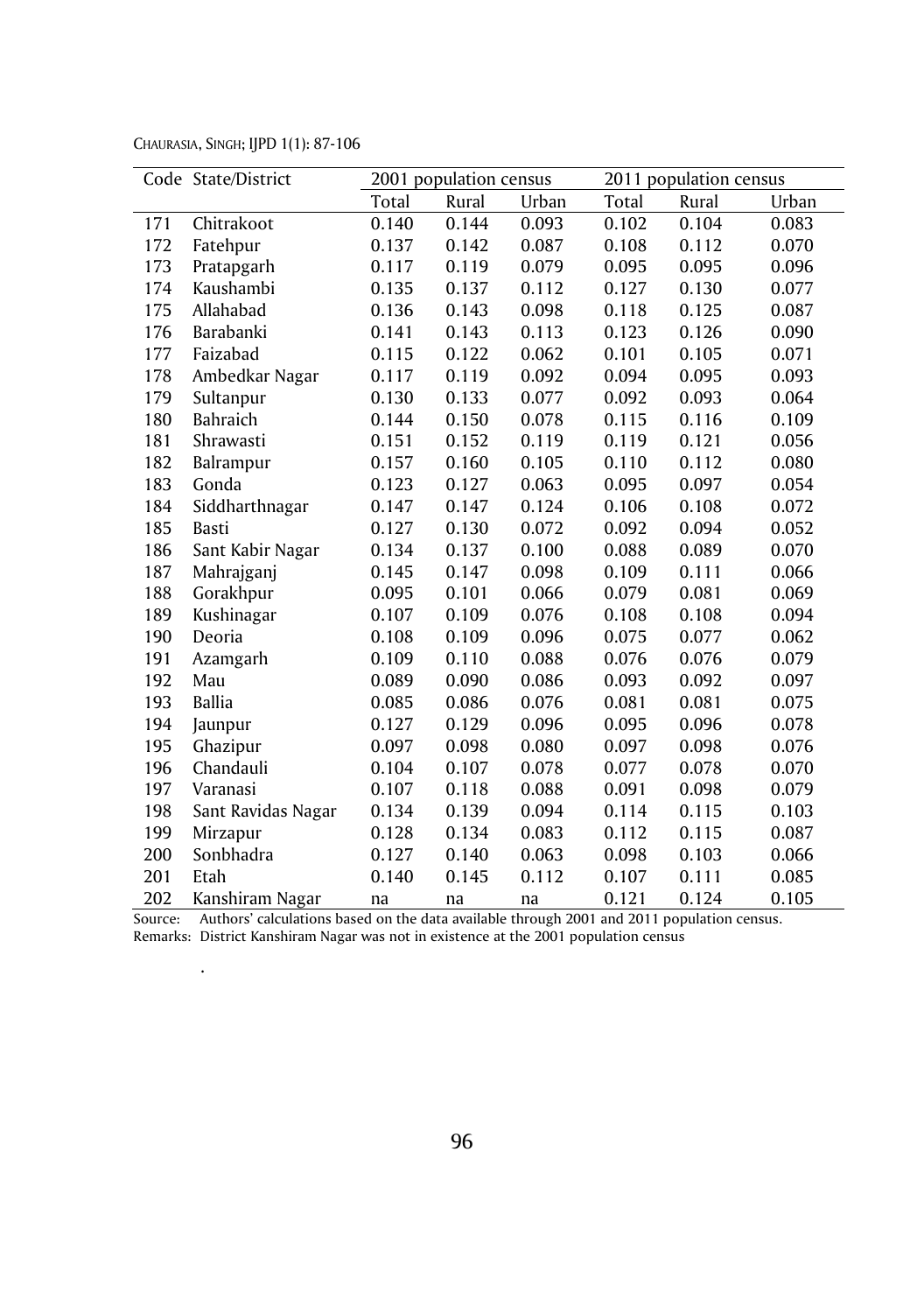CHAURASIA, SINGH; IJPD 1(1): 87-106

.

|     | Code State/District |       | 2001 population census |       |       | 2011 population census |       |  |  |  |
|-----|---------------------|-------|------------------------|-------|-------|------------------------|-------|--|--|--|
|     |                     | Total | Rural                  | Urban | Total | Rural                  | Urban |  |  |  |
| 171 | Chitrakoot          | 0.140 | 0.144                  | 0.093 | 0.102 | 0.104                  | 0.083 |  |  |  |
| 172 | Fatehpur            | 0.137 | 0.142                  | 0.087 | 0.108 | 0.112                  | 0.070 |  |  |  |
| 173 | Pratapgarh          | 0.117 | 0.119                  | 0.079 | 0.095 | 0.095                  | 0.096 |  |  |  |
| 174 | Kaushambi           | 0.135 | 0.137                  | 0.112 | 0.127 | 0.130                  | 0.077 |  |  |  |
| 175 | Allahabad           | 0.136 | 0.143                  | 0.098 | 0.118 | 0.125                  | 0.087 |  |  |  |
| 176 | Barabanki           | 0.141 | 0.143                  | 0.113 | 0.123 | 0.126                  | 0.090 |  |  |  |
| 177 | Faizabad            | 0.115 | 0.122                  | 0.062 | 0.101 | 0.105                  | 0.071 |  |  |  |
| 178 | Ambedkar Nagar      | 0.117 | 0.119                  | 0.092 | 0.094 | 0.095                  | 0.093 |  |  |  |
| 179 | Sultanpur           | 0.130 | 0.133                  | 0.077 | 0.092 | 0.093                  | 0.064 |  |  |  |
| 180 | Bahraich            | 0.144 | 0.150                  | 0.078 | 0.115 | 0.116                  | 0.109 |  |  |  |
| 181 | Shrawasti           | 0.151 | 0.152                  | 0.119 | 0.119 | 0.121                  | 0.056 |  |  |  |
| 182 | Balrampur           | 0.157 | 0.160                  | 0.105 | 0.110 | 0.112                  | 0.080 |  |  |  |
| 183 | Gonda               | 0.123 | 0.127                  | 0.063 | 0.095 | 0.097                  | 0.054 |  |  |  |
| 184 | Siddharthnagar      | 0.147 | 0.147                  | 0.124 | 0.106 | 0.108                  | 0.072 |  |  |  |
| 185 | <b>Basti</b>        | 0.127 | 0.130                  | 0.072 | 0.092 | 0.094                  | 0.052 |  |  |  |
| 186 | Sant Kabir Nagar    | 0.134 | 0.137                  | 0.100 | 0.088 | 0.089                  | 0.070 |  |  |  |
| 187 | Mahrajganj          | 0.145 | 0.147                  | 0.098 | 0.109 | 0.111                  | 0.066 |  |  |  |
| 188 | Gorakhpur           | 0.095 | 0.101                  | 0.066 | 0.079 | 0.081                  | 0.069 |  |  |  |
| 189 | Kushinagar          | 0.107 | 0.109                  | 0.076 | 0.108 | 0.108                  | 0.094 |  |  |  |
| 190 | Deoria              | 0.108 | 0.109                  | 0.096 | 0.075 | 0.077                  | 0.062 |  |  |  |
| 191 | Azamgarh            | 0.109 | 0.110                  | 0.088 | 0.076 | 0.076                  | 0.079 |  |  |  |
| 192 | Mau                 | 0.089 | 0.090                  | 0.086 | 0.093 | 0.092                  | 0.097 |  |  |  |
| 193 | <b>Ballia</b>       | 0.085 | 0.086                  | 0.076 | 0.081 | 0.081                  | 0.075 |  |  |  |
| 194 | Jaunpur             | 0.127 | 0.129                  | 0.096 | 0.095 | 0.096                  | 0.078 |  |  |  |
| 195 | Ghazipur            | 0.097 | 0.098                  | 0.080 | 0.097 | 0.098                  | 0.076 |  |  |  |
| 196 | Chandauli           | 0.104 | 0.107                  | 0.078 | 0.077 | 0.078                  | 0.070 |  |  |  |
| 197 | Varanasi            | 0.107 | 0.118                  | 0.088 | 0.091 | 0.098                  | 0.079 |  |  |  |
| 198 | Sant Ravidas Nagar  | 0.134 | 0.139                  | 0.094 | 0.114 | 0.115                  | 0.103 |  |  |  |
| 199 | Mirzapur            | 0.128 | 0.134                  | 0.083 | 0.112 | 0.115                  | 0.087 |  |  |  |
| 200 | Sonbhadra           | 0.127 | 0.140                  | 0.063 | 0.098 | 0.103                  | 0.066 |  |  |  |
| 201 | Etah                | 0.140 | 0.145                  | 0.112 | 0.107 | 0.111                  | 0.085 |  |  |  |
| 202 | Kanshiram Nagar     | na    | na                     | na    | 0.121 | 0.124                  | 0.105 |  |  |  |

Source: Authors' calculations based on the data available through 2001 and 2011 population census. Remarks: District Kanshiram Nagar was not in existence at the 2001 population census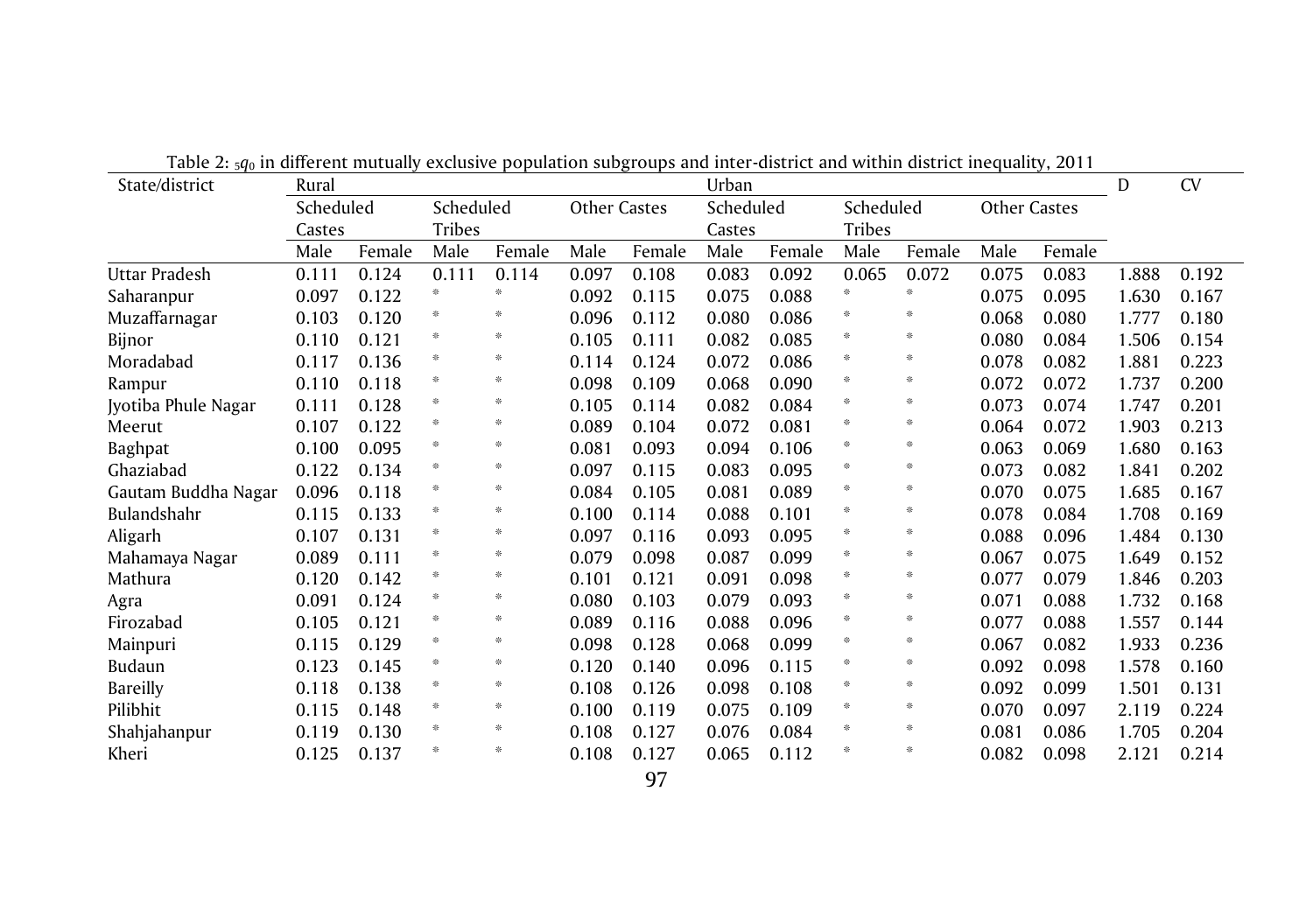| State/district      | rable 2. 3qu'in américal mataany exercisive population sabgroups and meer alsence and within district mequanty, 2011<br>Urban<br>Rural |        |               |        |                     |        |           |        |               | D      | <b>CV</b>    |        |       |       |
|---------------------|----------------------------------------------------------------------------------------------------------------------------------------|--------|---------------|--------|---------------------|--------|-----------|--------|---------------|--------|--------------|--------|-------|-------|
|                     | Scheduled                                                                                                                              |        | Scheduled     |        | <b>Other Castes</b> |        | Scheduled |        | Scheduled     |        | Other Castes |        |       |       |
|                     | Castes                                                                                                                                 |        | <b>Tribes</b> |        |                     |        | Castes    |        | <b>Tribes</b> |        |              |        |       |       |
|                     | Male                                                                                                                                   | Female | Male          | Female | Male                | Female | Male      | Female | Male          | Female | Male         | Female |       |       |
| Uttar Pradesh       | 0.111                                                                                                                                  | 0.124  | 0.111         | 0.114  | 0.097               | 0.108  | 0.083     | 0.092  | 0.065         | 0.072  | 0.075        | 0.083  | 1.888 | 0.192 |
| Saharanpur          | 0.097                                                                                                                                  | 0.122  | 崇             | 张      | 0.092               | 0.115  | 0.075     | 0.088  | 李             |        | 0.075        | 0.095  | 1.630 | 0.167 |
| Muzaffarnagar       | 0.103                                                                                                                                  | 0.120  | 崇             | 张      | 0.096               | 0.112  | 0.080     | 0.086  | *             | 崇      | 0.068        | 0.080  | 1.777 | 0.180 |
| Bijnor              | 0.110                                                                                                                                  | 0.121  | 崇             | ╬      | 0.105               | 0.111  | 0.082     | 0.085  | *             | 崇      | 0.080        | 0.084  | 1.506 | 0.154 |
| Moradabad           | 0.117                                                                                                                                  | 0.136  | 崇             | 崇      | 0.114               | 0.124  | 0.072     | 0.086  |               | 崇      | 0.078        | 0.082  | 1.881 | 0.223 |
| Rampur              | 0.110                                                                                                                                  | 0.118  | 崇             | 米      | 0.098               | 0.109  | 0.068     | 0.090  |               | 崇      | 0.072        | 0.072  | 1.737 | 0.200 |
| Jyotiba Phule Nagar | 0.111                                                                                                                                  | 0.128  | 崇             | 崇      | 0.105               | 0.114  | 0.082     | 0.084  |               | 崇      | 0.073        | 0.074  | 1.747 | 0.201 |
| Meerut              | 0.107                                                                                                                                  | 0.122  | 崇             | ╬      | 0.089               | 0.104  | 0.072     | 0.081  | 崇             | ╬      | 0.064        | 0.072  | 1.903 | 0.213 |
| Baghpat             | 0.100                                                                                                                                  | 0.095  | 崇             | 米      | 0.081               | 0.093  | 0.094     | 0.106  |               | 崇      | 0.063        | 0.069  | 1.680 | 0.163 |
| Ghaziabad           | 0.122                                                                                                                                  | 0.134  | 崇             | 崇      | 0.097               | 0.115  | 0.083     | 0.095  |               | 崇      | 0.073        | 0.082  | 1.841 | 0.202 |
| Gautam Buddha Nagar | 0.096                                                                                                                                  | 0.118  | 崇             | *      | 0.084               | 0.105  | 0.081     | 0.089  |               | ╬      | 0.070        | 0.075  | 1.685 | 0.167 |
| Bulandshahr         | 0.115                                                                                                                                  | 0.133  | 崇             | 崇      | 0.100               | 0.114  | 0.088     | 0.101  |               | 崇      | 0.078        | 0.084  | 1.708 | 0.169 |
| Aligarh             | 0.107                                                                                                                                  | 0.131  | 崇             | 崇      | 0.097               | 0.116  | 0.093     | 0.095  | 崇             | 崇      | 0.088        | 0.096  | 1.484 | 0.130 |
| Mahamaya Nagar      | 0.089                                                                                                                                  | 0.111  | 崇             | 崇      | 0.079               | 0.098  | 0.087     | 0.099  |               | 崇      | 0.067        | 0.075  | 1.649 | 0.152 |
| Mathura             | 0.120                                                                                                                                  | 0.142  | 崇             | 崇      | 0.101               | 0.121  | 0.091     | 0.098  |               | 崇      | 0.077        | 0.079  | 1.846 | 0.203 |
| Agra                | 0.091                                                                                                                                  | 0.124  | 崇             | 崇      | 0.080               | 0.103  | 0.079     | 0.093  |               | ╬      | 0.071        | 0.088  | 1.732 | 0.168 |
| Firozabad           | 0.105                                                                                                                                  | 0.121  | 崇             | 张      | 0.089               | 0.116  | 0.088     | 0.096  |               | 崇      | 0.077        | 0.088  | 1.557 | 0.144 |
| Mainpuri            | 0.115                                                                                                                                  | 0.129  | 崇             | 崇      | 0.098               | 0.128  | 0.068     | 0.099  |               | 崇      | 0.067        | 0.082  | 1.933 | 0.236 |
| Budaun              | 0.123                                                                                                                                  | 0.145  | 崇             | 崇      | 0.120               | 0.140  | 0.096     | 0.115  |               | 崇      | 0.092        | 0.098  | 1.578 | 0.160 |
| Bareilly            | 0.118                                                                                                                                  | 0.138  | 崇             | 崇      | 0.108               | 0.126  | 0.098     | 0.108  |               | 崇      | 0.092        | 0.099  | 1.501 | 0.131 |
| Pilibhit            | 0.115                                                                                                                                  | 0.148  | 崇             | 崇      | 0.100               | 0.119  | 0.075     | 0.109  | 崇             | 崇      | 0.070        | 0.097  | 2.119 | 0.224 |
| Shahjahanpur        | 0.119                                                                                                                                  | 0.130  | 崇             | 崇      | 0.108               | 0.127  | 0.076     | 0.084  |               | 崇      | 0.081        | 0.086  | 1.705 | 0.204 |
| Kheri               | 0.125                                                                                                                                  | 0.137  | 崇             | 米      | 0.108               | 0.127  | 0.065     | 0.112  | 崇             | 崇      | 0.082        | 0.098  | 2.121 | 0.214 |

Table 2: 5*q*<sup>0</sup> in different mutually exclusive population subgroups and inter-district and within district inequality, 2011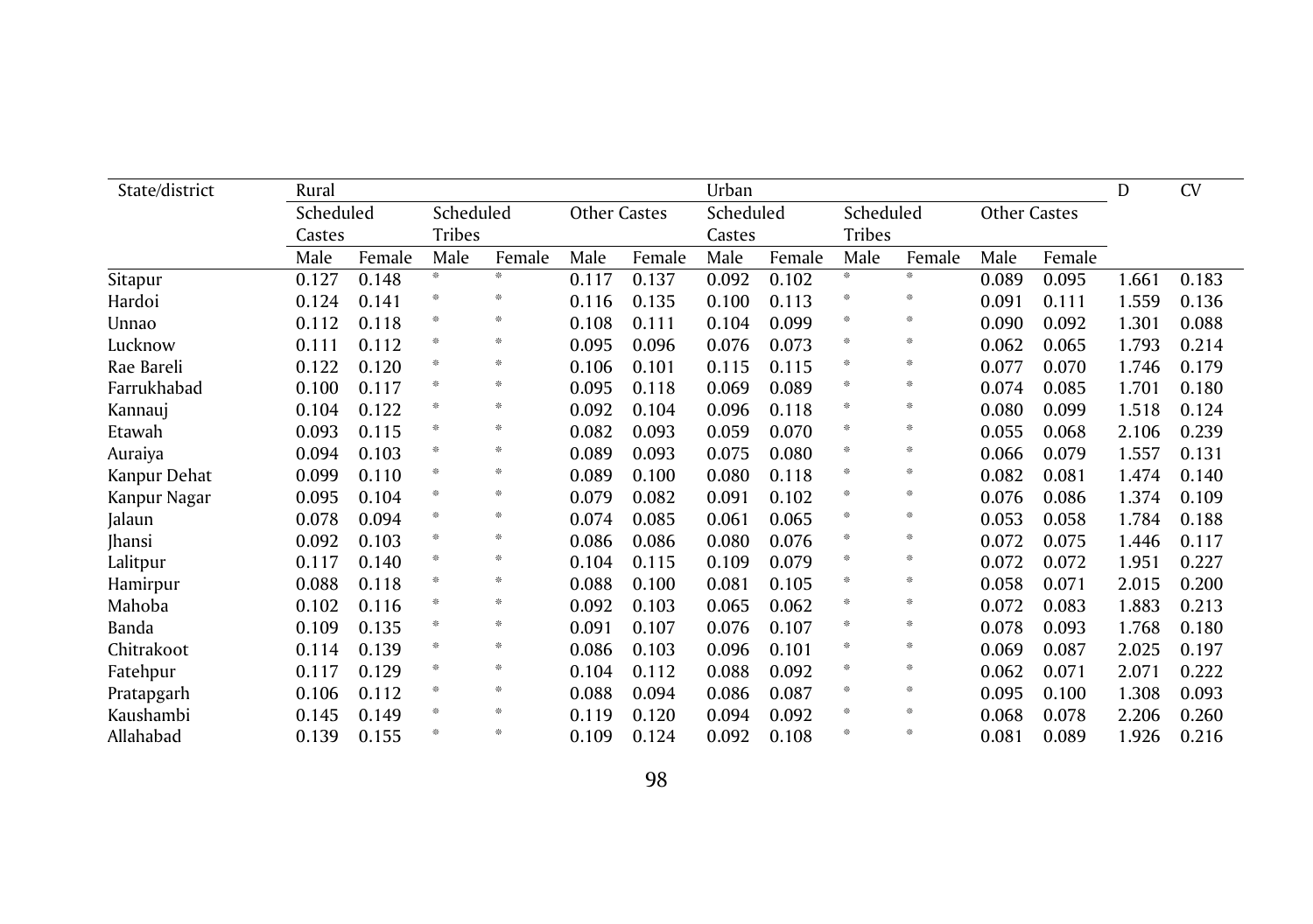| State/district | Rural  |           |      |               |       |                     | Urban     |        |           |               |              |        |       | <b>CV</b> |
|----------------|--------|-----------|------|---------------|-------|---------------------|-----------|--------|-----------|---------------|--------------|--------|-------|-----------|
|                |        | Scheduled |      | Scheduled     |       | <b>Other Castes</b> | Scheduled |        | Scheduled |               | Other Castes |        |       |           |
|                | Castes |           |      | <b>Tribes</b> |       |                     |           | Castes |           | <b>Tribes</b> |              |        |       |           |
|                | Male   | Female    | Male | Female        | Male  | Female              | Male      | Female | Male      | Female        | Male         | Female |       |           |
| Sitapur        | 0.127  | 0.148     | 崇    | 崇             | 0.117 | 0.137               | 0.092     | 0.102  | *         | 崇             | 0.089        | 0.095  | 1.661 | 0.183     |
| Hardoi         | 0.124  | 0.141     | 崇    | 米             | 0.116 | 0.135               | 0.100     | 0.113  | 崇         | 崇             | 0.091        | 0.111  | 1.559 | 0.136     |
| Unnao          | 0.112  | 0.118     | 崇    | 米             | 0.108 | 0.111               | 0.104     | 0.099  | 崇         | 崇             | 0.090        | 0.092  | 1.301 | 0.088     |
| Lucknow        | 0.111  | 0.112     | 崇    | 崇             | 0.095 | 0.096               | 0.076     | 0.073  | 崇         | 崇             | 0.062        | 0.065  | 1.793 | 0.214     |
| Rae Bareli     | 0.122  | 0.120     | 崇    | 崇             | 0.106 | 0.101               | 0.115     | 0.115  | 崇         | 崇             | 0.077        | 0.070  | 1.746 | 0.179     |
| Farrukhabad    | 0.100  | 0.117     | 崇    | 崇             | 0.095 | 0.118               | 0.069     | 0.089  | 崇         | 崇             | 0.074        | 0.085  | 1.701 | 0.180     |
| Kannauj        | 0.104  | 0.122     | 崇    | 崇             | 0.092 | 0.104               | 0.096     | 0.118  | 崇         | 崇             | 0.080        | 0.099  | 1.518 | 0.124     |
| Etawah         | 0.093  | 0.115     | 崇    | 米             | 0.082 | 0.093               | 0.059     | 0.070  | 崇         | 崇             | 0.055        | 0.068  | 2.106 | 0.239     |
| Auraiya        | 0.094  | 0.103     | 崇    | 崇             | 0.089 | 0.093               | 0.075     | 0.080  | 崇         | 崇             | 0.066        | 0.079  | 1.557 | 0.131     |
| Kanpur Dehat   | 0.099  | 0.110     | 崇    | 崇             | 0.089 | 0.100               | 0.080     | 0.118  | 崇         | 崇             | 0.082        | 0.081  | 1.474 | 0.140     |
| Kanpur Nagar   | 0.095  | 0.104     | 崇    | 崇             | 0.079 | 0.082               | 0.091     | 0.102  | 崇         | 崇             | 0.076        | 0.086  | 1.374 | 0.109     |
| Jalaun         | 0.078  | 0.094     | 崇    | 崇             | 0.074 | 0.085               | 0.061     | 0.065  | 崇         | 崇             | 0.053        | 0.058  | 1.784 | 0.188     |
| Jhansi         | 0.092  | 0.103     | ╬    | 崇             | 0.086 | 0.086               | 0.080     | 0.076  | 崇         | 崇             | 0.072        | 0.075  | 1.446 | 0.117     |
| Lalitpur       | 0.117  | 0.140     | 崇    | 崇             | 0.104 | 0.115               | 0.109     | 0.079  | 崇         | 崇             | 0.072        | 0.072  | 1.951 | 0.227     |
| Hamirpur       | 0.088  | 0.118     | 崇    | 崇             | 0.088 | 0.100               | 0.081     | 0.105  | 崇         | 崇             | 0.058        | 0.071  | 2.015 | 0.200     |
| Mahoba         | 0.102  | 0.116     | 崇    | 崇             | 0.092 | 0.103               | 0.065     | 0.062  | 崇         | 崇             | 0.072        | 0.083  | 1.883 | 0.213     |
| Banda          | 0.109  | 0.135     | 崇    | 崇             | 0.091 | 0.107               | 0.076     | 0.107  | 崇         | 崇             | 0.078        | 0.093  | 1.768 | 0.180     |
| Chitrakoot     | 0.114  | 0.139     | 崇    | 崇             | 0.086 | 0.103               | 0.096     | 0.101  | 崇         | 崇             | 0.069        | 0.087  | 2.025 | 0.197     |
| Fatehpur       | 0.117  | 0.129     | 崇    | 崇             | 0.104 | 0.112               | 0.088     | 0.092  | 崇         | 崇             | 0.062        | 0.071  | 2.071 | 0.222     |
| Pratapgarh     | 0.106  | 0.112     | 崇    | 崇             | 0.088 | 0.094               | 0.086     | 0.087  | 崇         | 崇             | 0.095        | 0.100  | 1.308 | 0.093     |
| Kaushambi      | 0.145  | 0.149     | 崇    | 崇             | 0.119 | 0.120               | 0.094     | 0.092  | 崇         | 崇             | 0.068        | 0.078  | 2.206 | 0.260     |
| Allahabad      | 0.139  | 0.155     | 崇    | 崇             | 0.109 | 0.124               | 0.092     | 0.108  | 崇         | 崇             | 0.081        | 0.089  | 1.926 | 0.216     |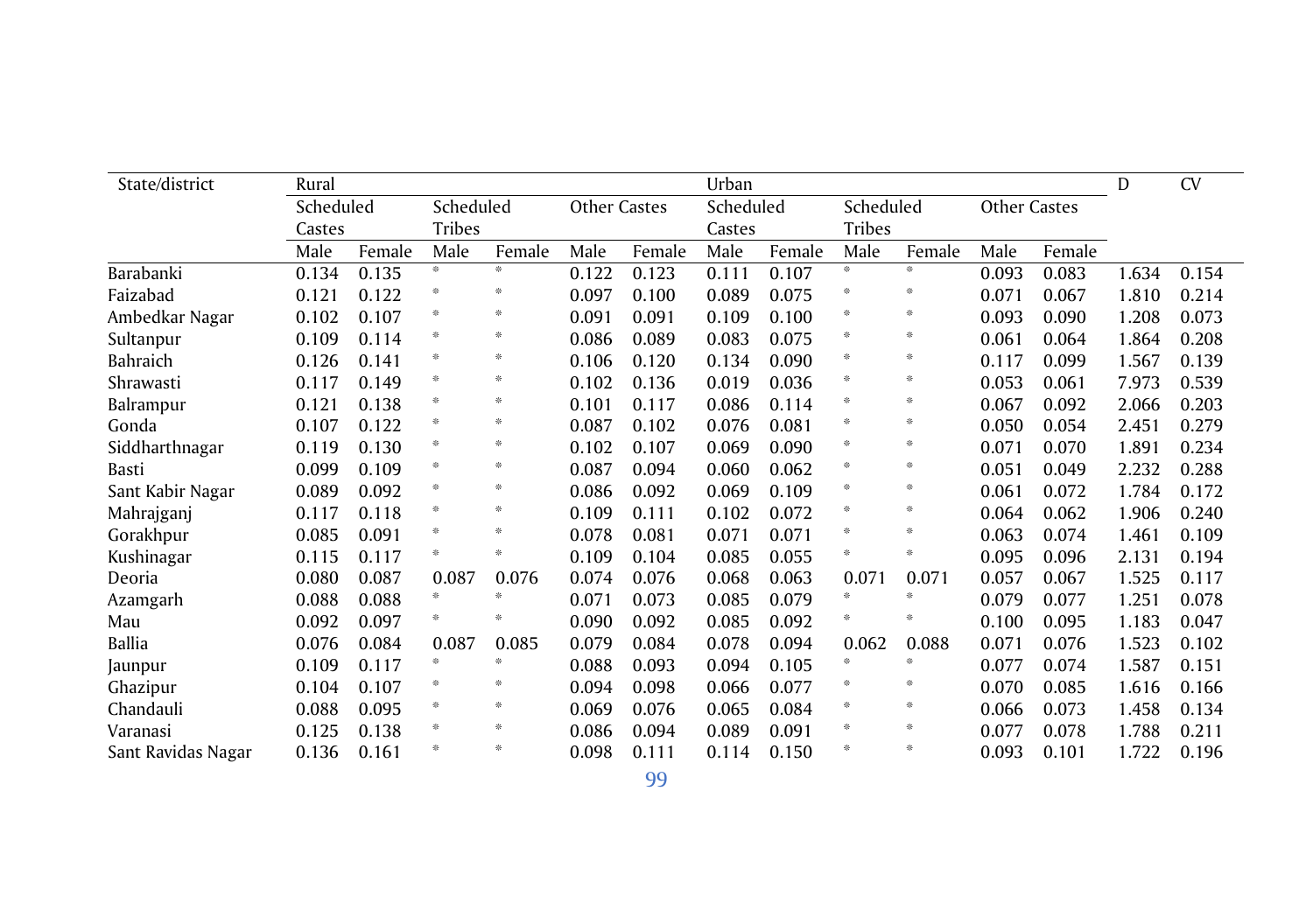| State/district     | Rural     |        |               |        |              |        | Urban     |        |               |        |                     |        |       | CV    |
|--------------------|-----------|--------|---------------|--------|--------------|--------|-----------|--------|---------------|--------|---------------------|--------|-------|-------|
|                    | Scheduled |        | Scheduled     |        | Other Castes |        | Scheduled |        | Scheduled     |        | <b>Other Castes</b> |        |       |       |
|                    | Castes    |        | <b>Tribes</b> |        |              |        | Castes    |        | <b>Tribes</b> |        |                     |        |       |       |
|                    | Male      | Female | Male          | Female | Male         | Female | Male      | Female | Male          | Female | Male                | Female |       |       |
| Barabanki          | 0.134     | 0.135  | 崇             | *      | 0.122        | 0.123  | 0.111     | 0.107  | 崇             | 崇      | 0.093               | 0.083  | 1.634 | 0.154 |
| Faizabad           | 0.121     | 0.122  | 崇             | 米      | 0.097        | 0.100  | 0.089     | 0.075  | 崇             | 崇      | 0.071               | 0.067  | 1.810 | 0.214 |
| Ambedkar Nagar     | 0.102     | 0.107  | 崇             | ☀      | 0.091        | 0.091  | 0.109     | 0.100  | 崇             | ╬      | 0.093               | 0.090  | 1.208 | 0.073 |
| Sultanpur          | 0.109     | 0.114  | 崇             | 崇      | 0.086        | 0.089  | 0.083     | 0.075  | 崇             | 崇      | 0.061               | 0.064  | 1.864 | 0.208 |
| Bahraich           | 0.126     | 0.141  | 崇             | 崇      | 0.106        | 0.120  | 0.134     | 0.090  | 崇             | 崇      | 0.117               | 0.099  | 1.567 | 0.139 |
| Shrawasti          | 0.117     | 0.149  | 崇             | 崇      | 0.102        | 0.136  | 0.019     | 0.036  | 崇             | 崇      | 0.053               | 0.061  | 7.973 | 0.539 |
| Balrampur          | 0.121     | 0.138  | 崇             | 张      | 0.101        | 0.117  | 0.086     | 0.114  |               | 崇      | 0.067               | 0.092  | 2.066 | 0.203 |
| Gonda              | 0.107     | 0.122  | 崇             | 崇      | 0.087        | 0.102  | 0.076     | 0.081  | 崇             | ╬      | 0.050               | 0.054  | 2.451 | 0.279 |
| Siddharthnagar     | 0.119     | 0.130  | 崇             | 崇      | 0.102        | 0.107  | 0.069     | 0.090  | 李             | 崇      | 0.071               | 0.070  | 1.891 | 0.234 |
| Basti              | 0.099     | 0.109  | 崇             | 崇      | 0.087        | 0.094  | 0.060     | 0.062  | 崇             | 崇      | 0.051               | 0.049  | 2.232 | 0.288 |
| Sant Kabir Nagar   | 0.089     | 0.092  | ╬             | ☀      | 0.086        | 0.092  | 0.069     | 0.109  | 崇             | 崇      | 0.061               | 0.072  | 1.784 | 0.172 |
| Mahrajganj         | 0.117     | 0.118  | 崇             | ☀      | 0.109        | 0.111  | 0.102     | 0.072  | 崇             | ╬      | 0.064               | 0.062  | 1.906 | 0.240 |
| Gorakhpur          | 0.085     | 0.091  | 崇             | 崇      | 0.078        | 0.081  | 0.071     | 0.071  | 崇             | 崇      | 0.063               | 0.074  | 1.461 | 0.109 |
| Kushinagar         | 0.115     | 0.117  | 崇             | 张      | 0.109        | 0.104  | 0.085     | 0.055  | 崇             | 崇      | 0.095               | 0.096  | 2.131 | 0.194 |
| Deoria             | 0.080     | 0.087  | 0.087         | 0.076  | 0.074        | 0.076  | 0.068     | 0.063  | 0.071         | 0.071  | 0.057               | 0.067  | 1.525 | 0.117 |
| Azamgarh           | 0.088     | 0.088  | 崇             | 张      | 0.071        | 0.073  | 0.085     | 0.079  | 崇             | 崇      | 0.079               | 0.077  | 1.251 | 0.078 |
| Mau                | 0.092     | 0.097  | 崇             | 张      | 0.090        | 0.092  | 0.085     | 0.092  | 崇             | 崇      | 0.100               | 0.095  | 1.183 | 0.047 |
| <b>Ballia</b>      | 0.076     | 0.084  | 0.087         | 0.085  | 0.079        | 0.084  | 0.078     | 0.094  | 0.062         | 0.088  | 0.071               | 0.076  | 1.523 | 0.102 |
| Jaunpur            | 0.109     | 0.117  | 崇             | 张      | 0.088        | 0.093  | 0.094     | 0.105  | 崇             | 崇      | 0.077               | 0.074  | 1.587 | 0.151 |
| Ghazipur           | 0.104     | 0.107  | 崇             | 崇      | 0.094        | 0.098  | 0.066     | 0.077  | 崇             | 崇      | 0.070               | 0.085  | 1.616 | 0.166 |
| Chandauli          | 0.088     | 0.095  | ╬             | ☀      | 0.069        | 0.076  | 0.065     | 0.084  | 崇             | 崇      | 0.066               | 0.073  | 1.458 | 0.134 |
| Varanasi           | 0.125     | 0.138  | 崇             | 崇      | 0.086        | 0.094  | 0.089     | 0.091  | 崇             | 崇      | 0.077               | 0.078  | 1.788 | 0.211 |
| Sant Ravidas Nagar | 0.136     | 0.161  | 崇             | 张      | 0.098        | 0.111  | 0.114     | 0.150  | 崇             | 崇      | 0.093               | 0.101  | 1.722 | 0.196 |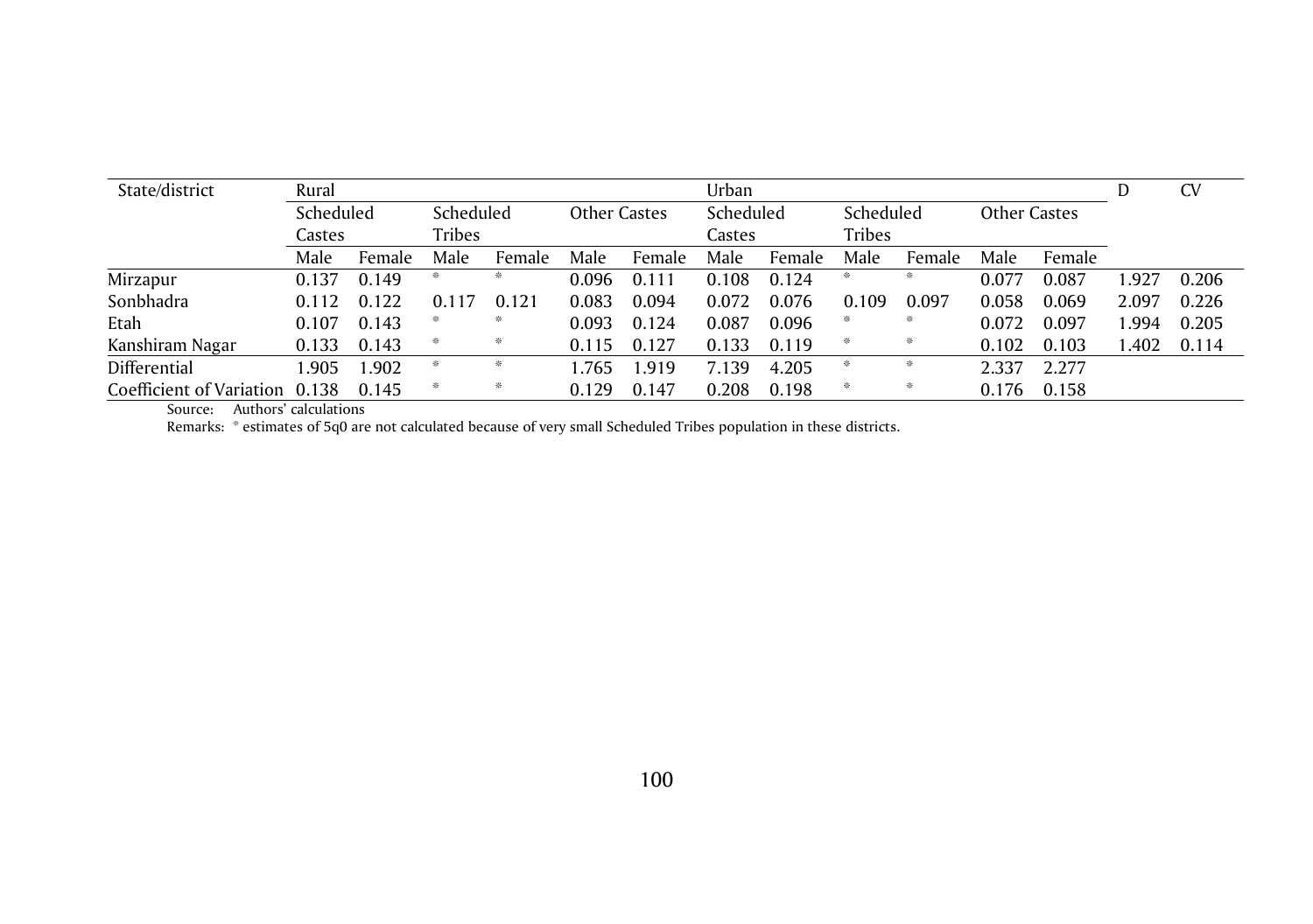| State/district                 | Rural     |        |               |        |              |        |           |        |           |               | <b>CV</b>           |        |       |       |
|--------------------------------|-----------|--------|---------------|--------|--------------|--------|-----------|--------|-----------|---------------|---------------------|--------|-------|-------|
|                                | Scheduled |        | Scheduled     |        | Other Castes |        | Scheduled |        | Scheduled |               | <b>Other Castes</b> |        |       |       |
|                                | Castes    |        | <b>Tribes</b> |        |              |        |           | Castes |           | <b>Tribes</b> |                     |        |       |       |
|                                | Male      | Female | Male          | Female | Male         | Female | Male      | Female | Male      | Female        | Male                | Female |       |       |
| Mirzapur                       | 0.137     | 0.149  | ∗             | 张      | 0.096        | 0.111  | 0.108     | 0.124  | 崇         | 米             | 0.077               | 0.087  | .927  | 0.206 |
| Sonbhadra                      | 0.112     | 0.122  | 0.117         | 0.121  | 0.083        | 0.094  | 0.072     | 0.076  | 0.109     | 0.097         | 0.058               | 0.069  | 2.097 | 0.226 |
| Etah                           | 0.107     | 0.143  | 崇             | 张      | 0.093        | 0.124  | 0.087     | 0.096  | *         | 米             | 0.072               | 0.097  | .994  | 0.205 |
| Kanshiram Nagar                | 0.133     | 0.143  | ₩             | 崇      | 0.115        | 0.127  | 0.133     | 0.119  | 崇         | ₩             | 0.102               | 0.103  | 1.402 | 0.114 |
| Differential                   | .905      | 1.902  | 崇             |        | .765         | .919   | 7.139     | 4.205  | 崇         |               | 2.337               | 2.277  |       |       |
| Coefficient of Variation 0.138 |           | 0.145  | ∗             | 崇      | 0.129        | 0.147  | 0.208     | 0.198  | ☀         | 崇             | 0.176               | 0.158  |       |       |

Source: Authors' calculations

Remarks: \* estimates of 5q0 are not calculated because of very small Scheduled Tribes population in these districts.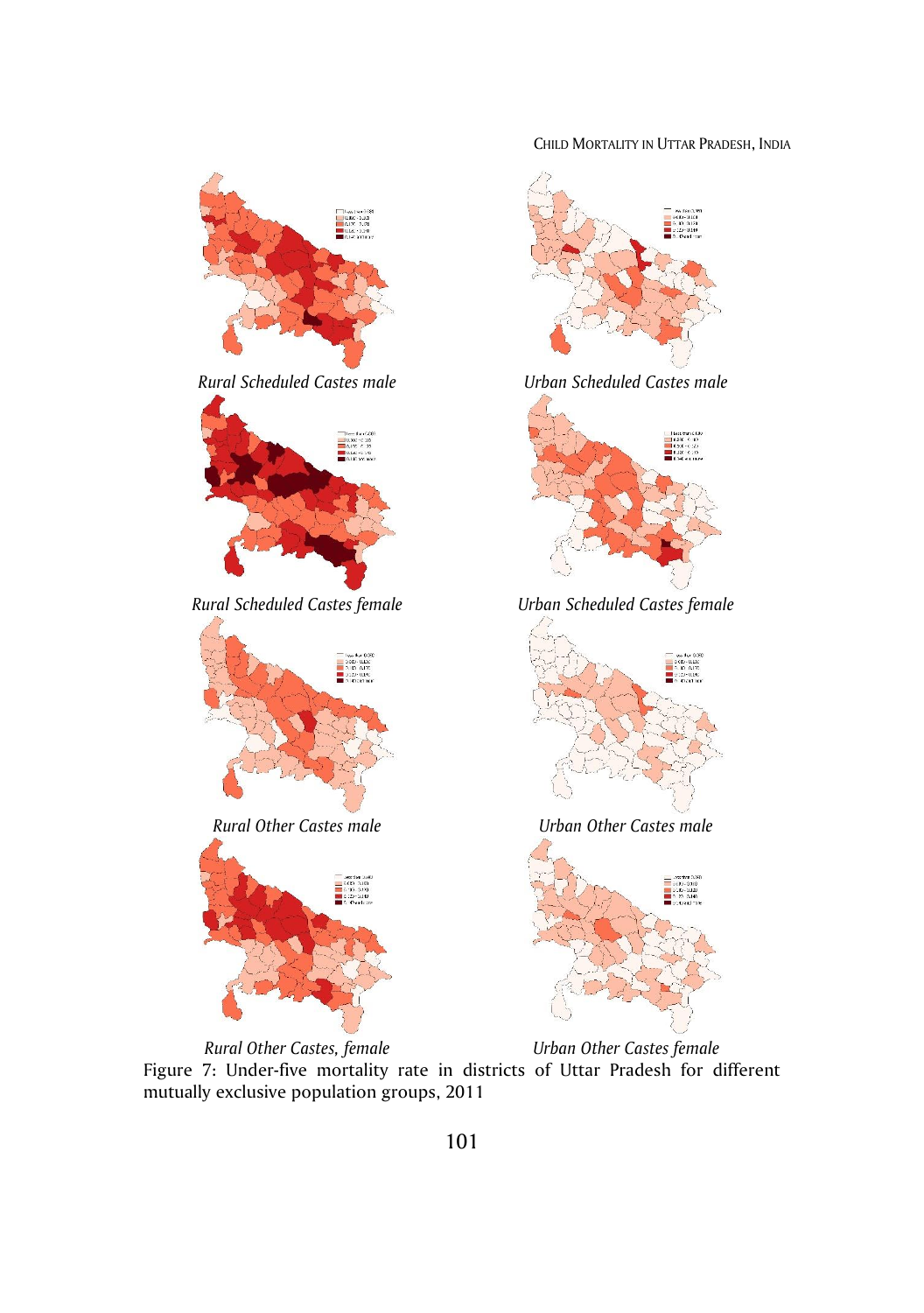CHILD MORTALITY IN UTTAR PRADESH, INDIA



Figure 7: Under-five mortality rate in districts of Uttar Pradesh for different mutually exclusive population groups, 2011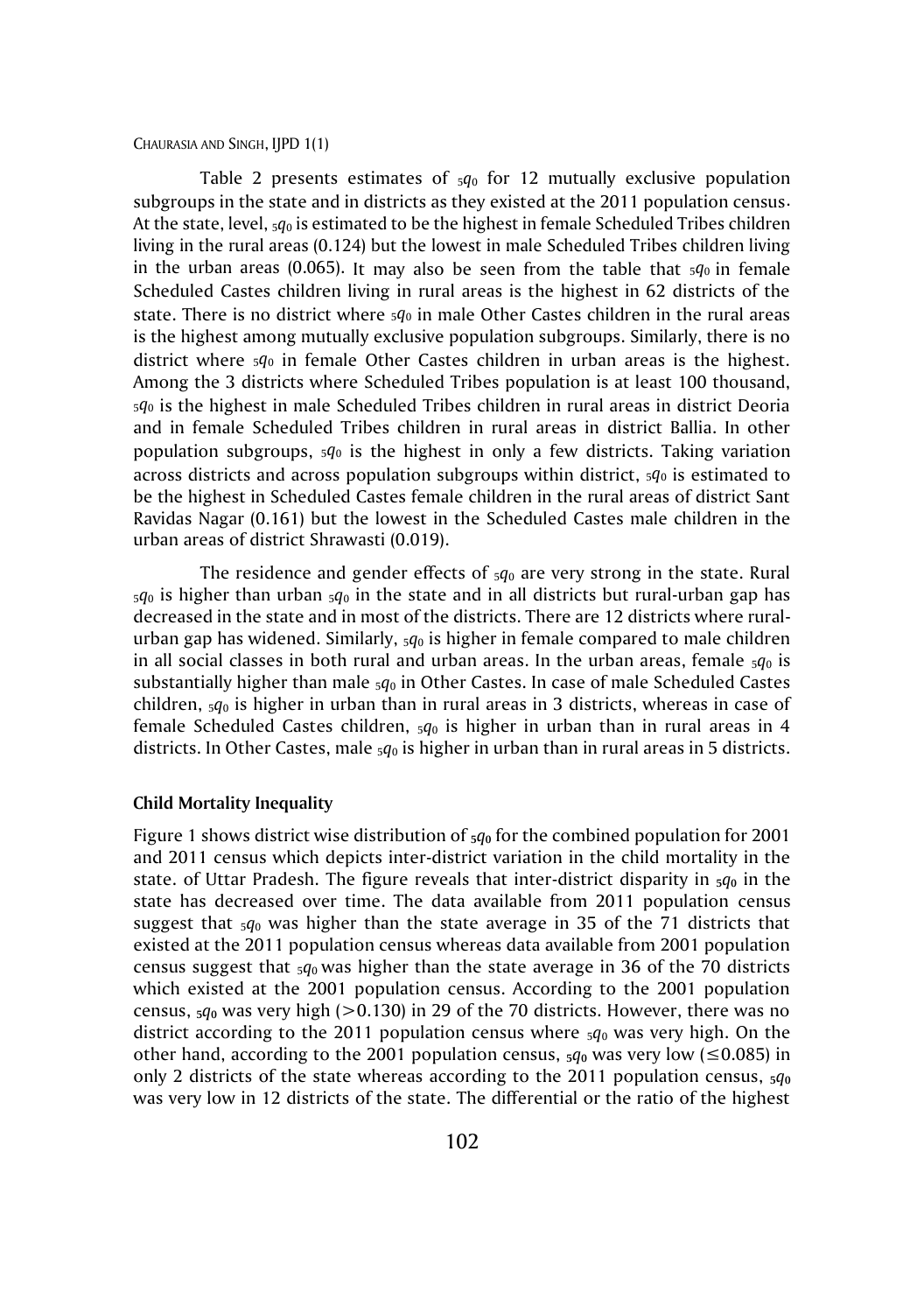#### CHAURASIA AND SINGH, IJPD 1(1)

Table 2 presents estimates of  $_5q_0$  for 12 mutually exclusive population subgroups in the state and in districts as they existed at the 2011 population census. At the state, level, 5*q*<sup>0</sup> is estimated to be the highest in female Scheduled Tribes children living in the rural areas (0.124) but the lowest in male Scheduled Tribes children living in the urban areas (0.065). It may also be seen from the table that  $sq_0$  in female Scheduled Castes children living in rural areas is the highest in 62 districts of the state. There is no district where 5*q*<sup>0</sup> in male Other Castes children in the rural areas is the highest among mutually exclusive population subgroups. Similarly, there is no district where 5*q*<sup>0</sup> in female Other Castes children in urban areas is the highest. Among the 3 districts where Scheduled Tribes population is at least 100 thousand, <sup>5</sup>*q*<sup>0</sup> is the highest in male Scheduled Tribes children in rural areas in district Deoria and in female Scheduled Tribes children in rural areas in district Ballia. In other population subgroups, 5*q*<sup>0</sup> is the highest in only a few districts. Taking variation across districts and across population subgroups within district, 5*q*<sup>0</sup> is estimated to be the highest in Scheduled Castes female children in the rural areas of district Sant Ravidas Nagar (0.161) but the lowest in the Scheduled Castes male children in the urban areas of district Shrawasti (0.019).

The residence and gender effects of 5*q*<sup>0</sup> are very strong in the state. Rural  $5q_0$  is higher than urban  $5q_0$  in the state and in all districts but rural-urban gap has decreased in the state and in most of the districts. There are 12 districts where ruralurban gap has widened. Similarly, 5*q*<sup>0</sup> is higher in female compared to male children in all social classes in both rural and urban areas. In the urban areas, female  $5q_0$  is substantially higher than male  $5q_0$  in Other Castes. In case of male Scheduled Castes children, 5*q*<sup>0</sup> is higher in urban than in rural areas in 3 districts, whereas in case of female Scheduled Castes children,  $_5q_0$  is higher in urban than in rural areas in 4 districts. In Other Castes, male 5*q*<sup>0</sup> is higher in urban than in rural areas in 5 districts.

### **Child Mortality Inequality**

Figure 1 shows district wise distribution of **5***q***<sup>0</sup>** for the combined population for 2001 and 2011 census which depicts inter-district variation in the child mortality in the state. of Uttar Pradesh. The figure reveals that inter-district disparity in  $\frac{1}{2}q_0$  in the state has decreased over time. The data available from 2011 population census suggest that  $5q_0$  was higher than the state average in 35 of the 71 districts that existed at the 2011 population census whereas data available from 2001 population census suggest that 5*q*0 was higher than the state average in 36 of the 70 districts which existed at the 2001 population census. According to the 2001 population census,  $5q_0$  was very high ( $> 0.130$ ) in 29 of the 70 districts. However, there was no district according to the 2011 population census where  $\frac{1}{2}q_0$  was very high. On the other hand, according to the 2001 population census,  $5q_0$  was very low ( $\leq$ 0.085) in only 2 districts of the state whereas according to the 2011 population census,  $\frac{5q_0}{2}$ was very low in 12 districts of the state. The differential or the ratio of the highest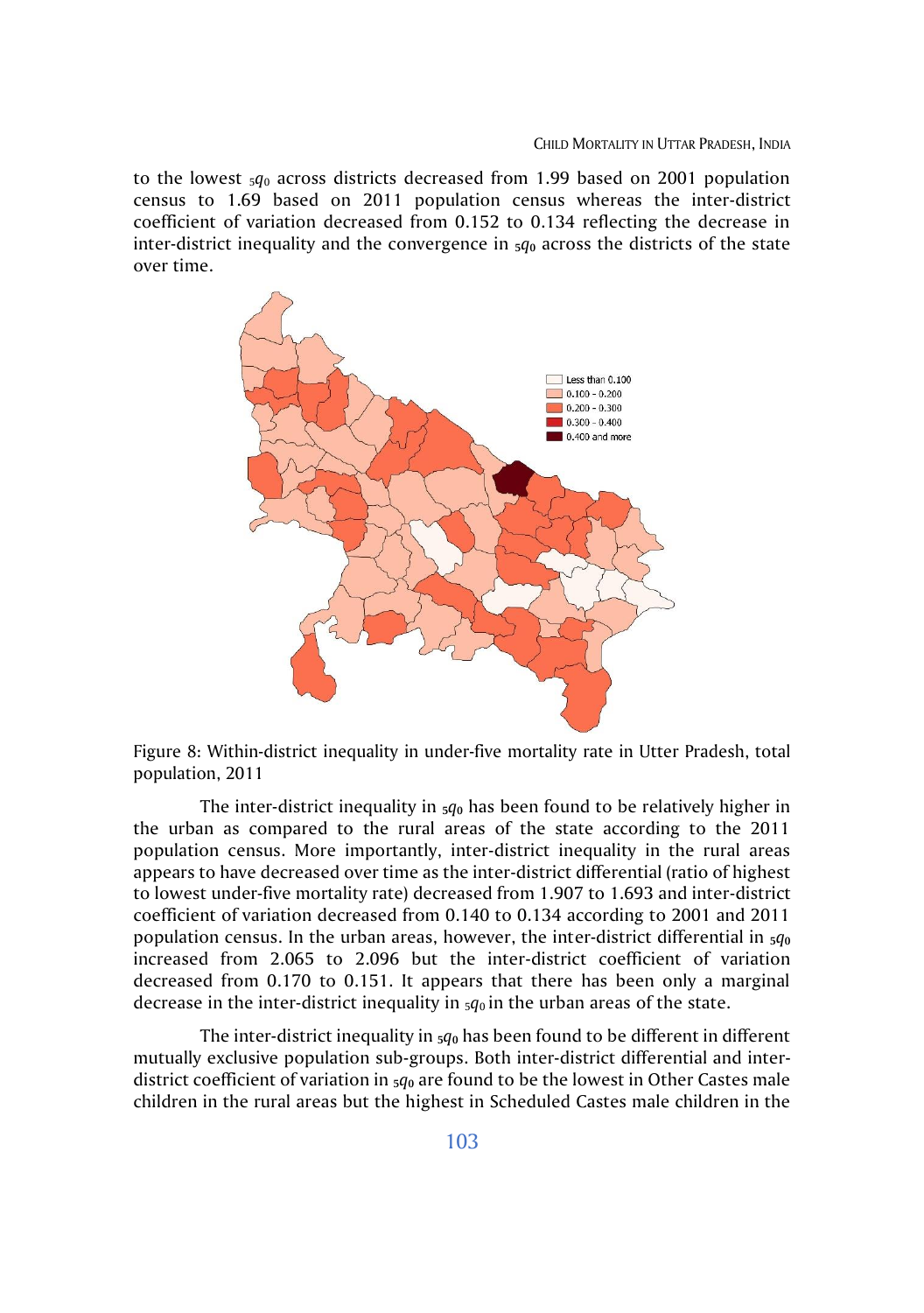to the lowest  $5q_0$  across districts decreased from 1.99 based on 2001 population census to 1.69 based on 2011 population census whereas the inter-district coefficient of variation decreased from 0.152 to 0.134 reflecting the decrease in inter-district inequality and the convergence in  $\frac{5}{90}$  across the districts of the state over time.



Figure 8: Within-district inequality in under-five mortality rate in Utter Pradesh, total population, 2011

The inter-district inequality in  $_5q_0$  has been found to be relatively higher in the urban as compared to the rural areas of the state according to the 2011 population census. More importantly, inter-district inequality in the rural areas appears to have decreased over time as the inter-district differential (ratio of highest to lowest under-five mortality rate) decreased from 1.907 to 1.693 and inter-district coefficient of variation decreased from 0.140 to 0.134 according to 2001 and 2011 population census. In the urban areas, however, the inter-district differential in **5***q***<sup>0</sup>** increased from 2.065 to 2.096 but the inter-district coefficient of variation decreased from 0.170 to 0.151. It appears that there has been only a marginal decrease in the inter-district inequality in  $_5q_0$  in the urban areas of the state.

The inter-district inequality in **5***q***<sup>0</sup>** has been found to be different in different mutually exclusive population sub-groups. Both inter-district differential and interdistrict coefficient of variation in **5***q***<sup>0</sup>** are found to be the lowest in Other Castes male children in the rural areas but the highest in Scheduled Castes male children in the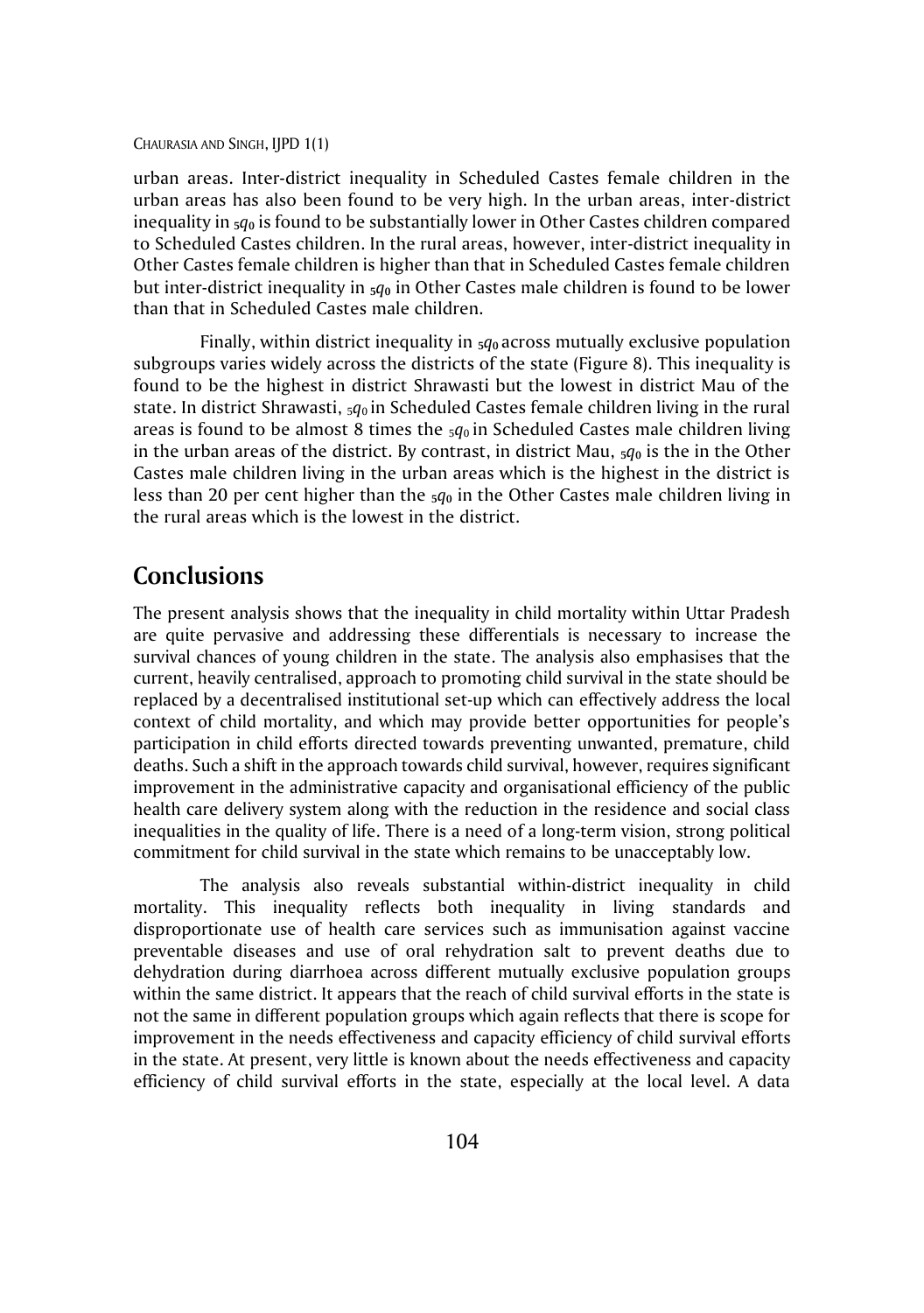#### CHAURASIA AND SINGH, IJPD 1(1)

urban areas. Inter-district inequality in Scheduled Castes female children in the urban areas has also been found to be very high. In the urban areas, inter-district inequality in  $_5q_0$  is found to be substantially lower in Other Castes children compared to Scheduled Castes children. In the rural areas, however, inter-district inequality in Other Castes female children is higher than that in Scheduled Castes female children but inter-district inequality in **5***q***<sup>0</sup>** in Other Castes male children is found to be lower than that in Scheduled Castes male children.

Finally, within district inequality in **5***q***0** across mutually exclusive population subgroups varies widely across the districts of the state (Figure 8). This inequality is found to be the highest in district Shrawasti but the lowest in district Mau of the state. In district Shrawasti, 5*q*0 in Scheduled Castes female children living in the rural areas is found to be almost 8 times the  $_5q_0$  in Scheduled Castes male children living in the urban areas of the district. By contrast, in district Mau,  $5q_0$  is the in the Other Castes male children living in the urban areas which is the highest in the district is less than 20 per cent higher than the  $_5q_0$  in the Other Castes male children living in the rural areas which is the lowest in the district.

# **Conclusions**

The present analysis shows that the inequality in child mortality within Uttar Pradesh are quite pervasive and addressing these differentials is necessary to increase the survival chances of young children in the state. The analysis also emphasises that the current, heavily centralised, approach to promoting child survival in the state should be replaced by a decentralised institutional set-up which can effectively address the local context of child mortality, and which may provide better opportunities for people's participation in child efforts directed towards preventing unwanted, premature, child deaths. Such a shift in the approach towards child survival, however, requires significant improvement in the administrative capacity and organisational efficiency of the public health care delivery system along with the reduction in the residence and social class inequalities in the quality of life. There is a need of a long-term vision, strong political commitment for child survival in the state which remains to be unacceptably low.

The analysis also reveals substantial within-district inequality in child mortality. This inequality reflects both inequality in living standards and disproportionate use of health care services such as immunisation against vaccine preventable diseases and use of oral rehydration salt to prevent deaths due to dehydration during diarrhoea across different mutually exclusive population groups within the same district. It appears that the reach of child survival efforts in the state is not the same in different population groups which again reflects that there is scope for improvement in the needs effectiveness and capacity efficiency of child survival efforts in the state. At present, very little is known about the needs effectiveness and capacity efficiency of child survival efforts in the state, especially at the local level. A data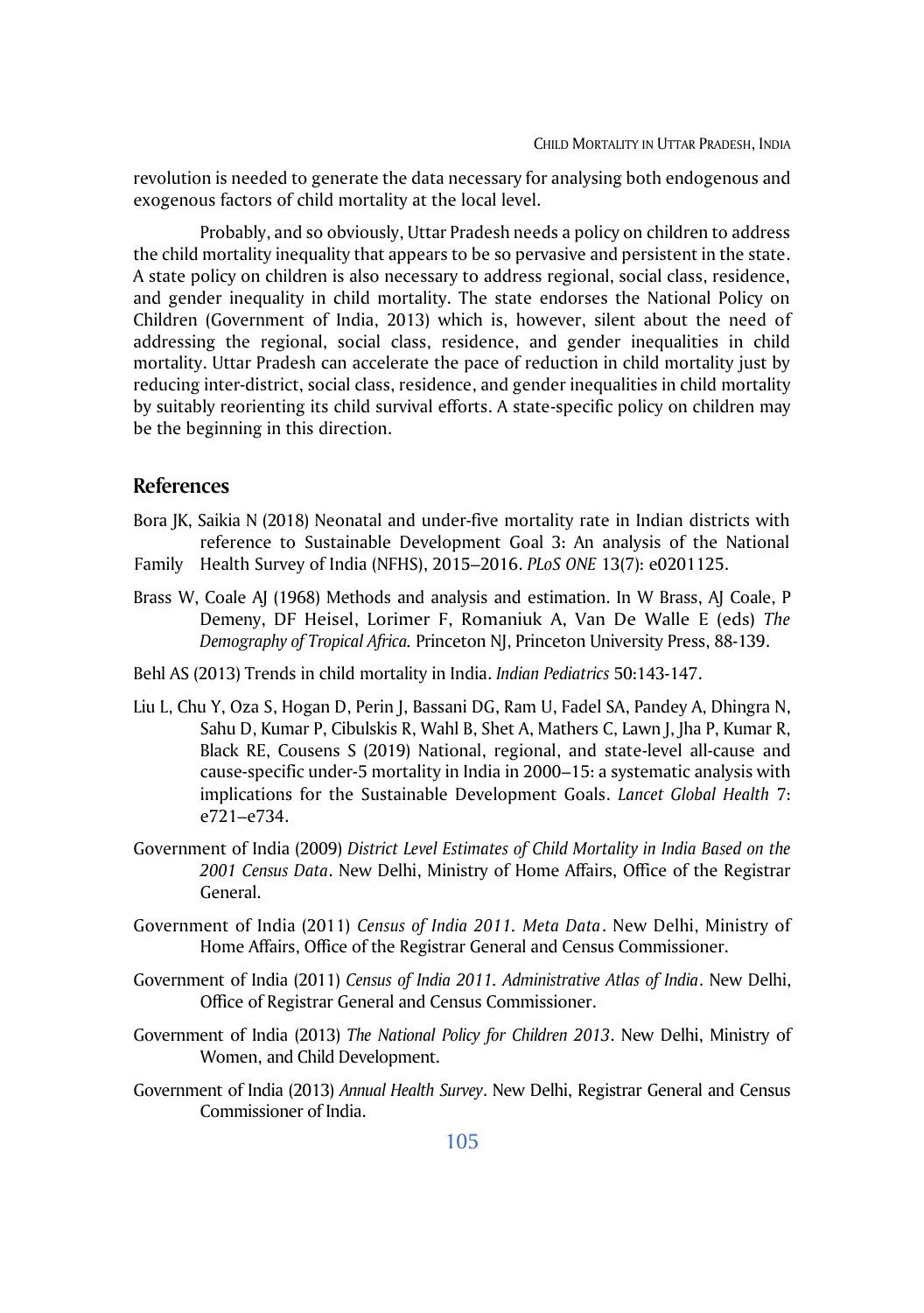revolution is needed to generate the data necessary for analysing both endogenous and exogenous factors of child mortality at the local level.

Probably, and so obviously, Uttar Pradesh needs a policy on children to address the child mortality inequality that appears to be so pervasive and persistent in the state. A state policy on children is also necessary to address regional, social class, residence, and gender inequality in child mortality. The state endorses the National Policy on Children (Government of India, 2013) which is, however, silent about the need of addressing the regional, social class, residence, and gender inequalities in child mortality. Uttar Pradesh can accelerate the pace of reduction in child mortality just by reducing inter-district, social class, residence, and gender inequalities in child mortality by suitably reorienting its child survival efforts. A state-specific policy on children may be the beginning in this direction.

### **References**

- Bora JK, Saikia N (2018) Neonatal and under-five mortality rate in Indian districts with reference to Sustainable Development Goal 3: An analysis of the National
- Family Health Survey of India (NFHS), 2015–2016. *PLoS ONE* 13(7): e0201125.
- Brass W, Coale AJ (1968) Methods and analysis and estimation. In W Brass, AJ Coale, P Demeny, DF Heisel, Lorimer F, Romaniuk A, Van De Walle E (eds) *The Demography of Tropical Africa.* Princeton NJ, Princeton University Press, 88-139.
- Behl AS (2013) Trends in child mortality in India. *Indian Pediatrics* 50:143-147.
- Liu L, Chu Y, Oza S, Hogan D, Perin J, Bassani DG, Ram U, Fadel SA, Pandey A, Dhingra N, Sahu D, Kumar P, Cibulskis R, Wahl B, Shet A, Mathers C, Lawn J, Jha P, Kumar R, Black RE, Cousens S (2019) National, regional, and state-level all-cause and cause-specific under-5 mortality in India in 2000–15: a systematic analysis with implications for the Sustainable Development Goals. *Lancet Global Health* 7: e721–e734.
- Government of India (2009) *District Level Estimates of Child Mortality in India Based on the 2001 Census Data*. New Delhi, Ministry of Home Affairs, Office of the Registrar General.
- Government of India (2011) *Census of India 2011. Meta Data*. New Delhi, Ministry of Home Affairs, Office of the Registrar General and Census Commissioner.
- Government of India (2011) *Census of India 2011. Administrative Atlas of India*. New Delhi, Office of Registrar General and Census Commissioner.
- Government of India (2013) *The National Policy for Children 2013*. New Delhi, Ministry of Women, and Child Development.
- Government of India (2013) *Annual Health Survey*. New Delhi, Registrar General and Census Commissioner of India.